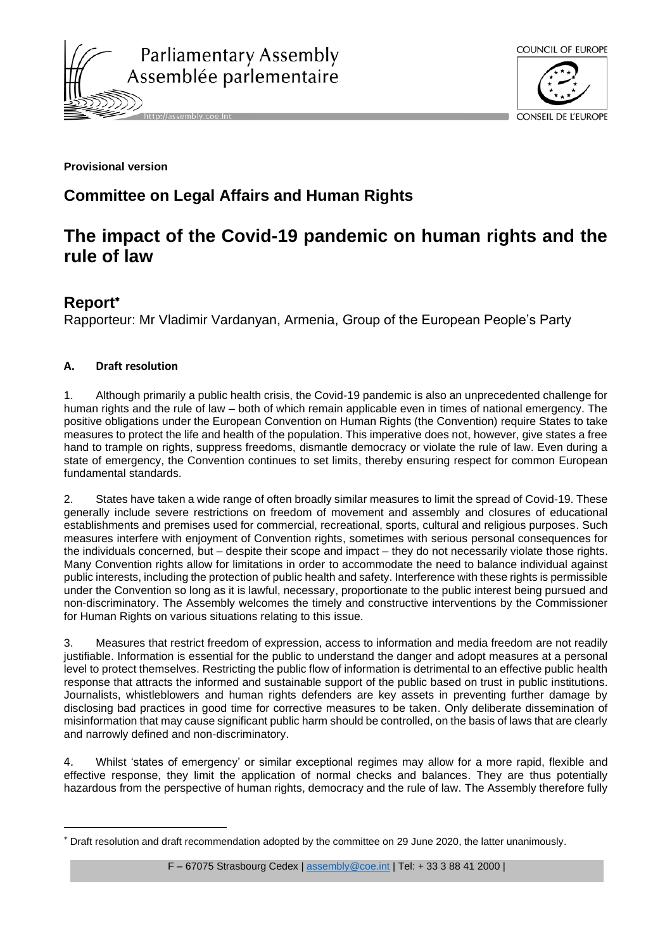



## **Provisional version**

## **Committee on Legal Affairs and Human Rights**

# **The impact of the Covid-19 pandemic on human rights and the rule of law**

## **Report**

Rapporteur: Mr Vladimir Vardanyan, Armenia, Group of the European People's Party

## **A. Draft resolution**

1. Although primarily a public health crisis, the Covid-19 pandemic is also an unprecedented challenge for human rights and the rule of law – both of which remain applicable even in times of national emergency. The positive obligations under the European Convention on Human Rights (the Convention) require States to take measures to protect the life and health of the population. This imperative does not, however, give states a free hand to trample on rights, suppress freedoms, dismantle democracy or violate the rule of law. Even during a state of emergency, the Convention continues to set limits, thereby ensuring respect for common European fundamental standards.

2. States have taken a wide range of often broadly similar measures to limit the spread of Covid-19. These generally include severe restrictions on freedom of movement and assembly and closures of educational establishments and premises used for commercial, recreational, sports, cultural and religious purposes. Such measures interfere with enjoyment of Convention rights, sometimes with serious personal consequences for the individuals concerned, but – despite their scope and impact – they do not necessarily violate those rights. Many Convention rights allow for limitations in order to accommodate the need to balance individual against public interests, including the protection of public health and safety. Interference with these rights is permissible under the Convention so long as it is lawful, necessary, proportionate to the public interest being pursued and non-discriminatory. The Assembly welcomes the timely and constructive interventions by the Commissioner for Human Rights on various situations relating to this issue.

3. Measures that restrict freedom of expression, access to information and media freedom are not readily justifiable. Information is essential for the public to understand the danger and adopt measures at a personal level to protect themselves. Restricting the public flow of information is detrimental to an effective public health response that attracts the informed and sustainable support of the public based on trust in public institutions. Journalists, whistleblowers and human rights defenders are key assets in preventing further damage by disclosing bad practices in good time for corrective measures to be taken. Only deliberate dissemination of misinformation that may cause significant public harm should be controlled, on the basis of laws that are clearly and narrowly defined and non-discriminatory.

4. Whilst 'states of emergency' or similar exceptional regimes may allow for a more rapid, flexible and effective response, they limit the application of normal checks and balances. They are thus potentially hazardous from the perspective of human rights, democracy and the rule of law. The Assembly therefore fully

F - 67075 Strasbourg Cedex | [assembly@coe.int](mailto:assembly@coe.int) | Tel: + 33 3 88 41 2000 |

Draft resolution and draft recommendation adopted by the committee on 29 June 2020, the latter unanimously.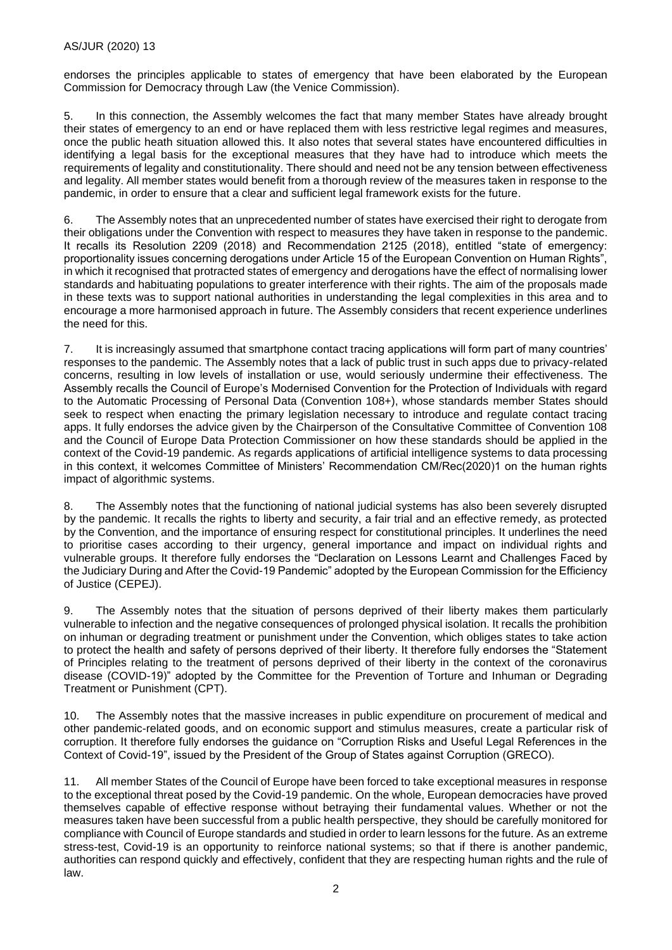endorses the principles applicable to states of emergency that have been elaborated by the European Commission for Democracy through Law (the Venice Commission).

5. In this connection, the Assembly welcomes the fact that many member States have already brought their states of emergency to an end or have replaced them with less restrictive legal regimes and measures, once the public heath situation allowed this. It also notes that several states have encountered difficulties in identifying a legal basis for the exceptional measures that they have had to introduce which meets the requirements of legality and constitutionality. There should and need not be any tension between effectiveness and legality. All member states would benefit from a thorough review of the measures taken in response to the pandemic, in order to ensure that a clear and sufficient legal framework exists for the future.

6. The Assembly notes that an unprecedented number of states have exercised their right to derogate from their obligations under the Convention with respect to measures they have taken in response to the pandemic. It recalls its Resolution 2209 (2018) and Recommendation 2125 (2018), entitled "state of emergency: proportionality issues concerning derogations under Article 15 of the European Convention on Human Rights", in which it recognised that protracted states of emergency and derogations have the effect of normalising lower standards and habituating populations to greater interference with their rights. The aim of the proposals made in these texts was to support national authorities in understanding the legal complexities in this area and to encourage a more harmonised approach in future. The Assembly considers that recent experience underlines the need for this.

7. It is increasingly assumed that smartphone contact tracing applications will form part of many countries' responses to the pandemic. The Assembly notes that a lack of public trust in such apps due to privacy-related concerns, resulting in low levels of installation or use, would seriously undermine their effectiveness. The Assembly recalls the Council of Europe's Modernised Convention for the Protection of Individuals with regard to the Automatic Processing of Personal Data (Convention 108+), whose standards member States should seek to respect when enacting the primary legislation necessary to introduce and regulate contact tracing apps. It fully endorses the advice given by the Chairperson of the Consultative Committee of Convention 108 and the Council of Europe Data Protection Commissioner on how these standards should be applied in the context of the Covid-19 pandemic. As regards applications of artificial intelligence systems to data processing in this context, it welcomes Committee of Ministers' Recommendation CM/Rec(2020)1 on the human rights impact of algorithmic systems.

8. The Assembly notes that the functioning of national judicial systems has also been severely disrupted by the pandemic. It recalls the rights to liberty and security, a fair trial and an effective remedy, as protected by the Convention, and the importance of ensuring respect for constitutional principles. It underlines the need to prioritise cases according to their urgency, general importance and impact on individual rights and vulnerable groups. It therefore fully endorses the "Declaration on Lessons Learnt and Challenges Faced by the Judiciary During and After the Covid-19 Pandemic" adopted by the European Commission for the Efficiency of Justice (CEPEJ).

9. The Assembly notes that the situation of persons deprived of their liberty makes them particularly vulnerable to infection and the negative consequences of prolonged physical isolation. It recalls the prohibition on inhuman or degrading treatment or punishment under the Convention, which obliges states to take action to protect the health and safety of persons deprived of their liberty. It therefore fully endorses the "Statement of Principles relating to the treatment of persons deprived of their liberty in the context of the coronavirus disease (COVID-19)" adopted by the Committee for the Prevention of Torture and Inhuman or Degrading Treatment or Punishment (CPT).

10. The Assembly notes that the massive increases in public expenditure on procurement of medical and other pandemic-related goods, and on economic support and stimulus measures, create a particular risk of corruption. It therefore fully endorses the guidance on "Corruption Risks and Useful Legal References in the Context of Covid-19", issued by the President of the Group of States against Corruption (GRECO).

11. All member States of the Council of Europe have been forced to take exceptional measures in response to the exceptional threat posed by the Covid-19 pandemic. On the whole, European democracies have proved themselves capable of effective response without betraying their fundamental values. Whether or not the measures taken have been successful from a public health perspective, they should be carefully monitored for compliance with Council of Europe standards and studied in order to learn lessons for the future. As an extreme stress-test, Covid-19 is an opportunity to reinforce national systems; so that if there is another pandemic, authorities can respond quickly and effectively, confident that they are respecting human rights and the rule of law.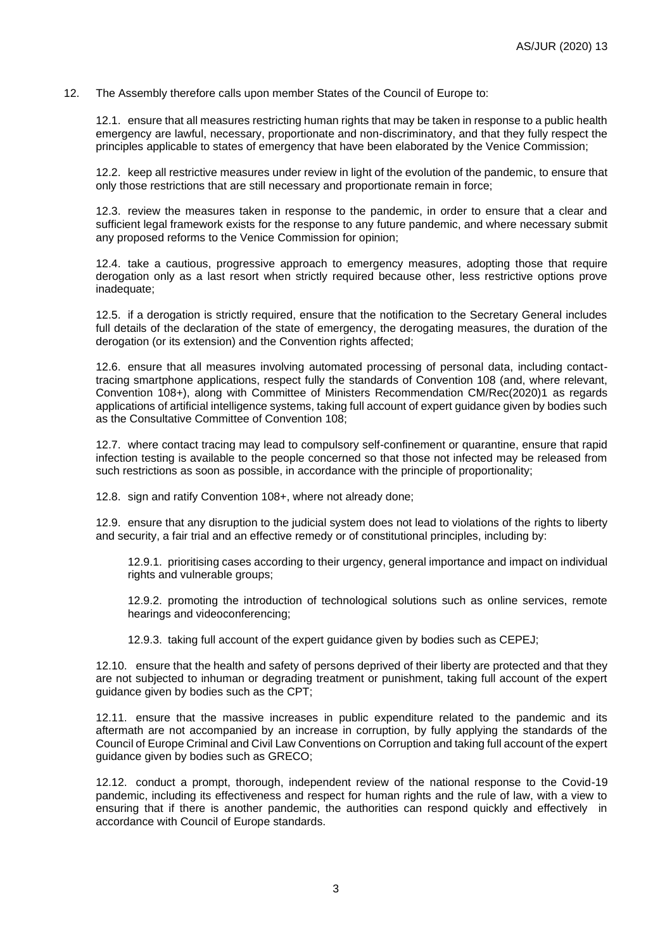#### 12. The Assembly therefore calls upon member States of the Council of Europe to:

12.1. ensure that all measures restricting human rights that may be taken in response to a public health emergency are lawful, necessary, proportionate and non-discriminatory, and that they fully respect the principles applicable to states of emergency that have been elaborated by the Venice Commission;

12.2. keep all restrictive measures under review in light of the evolution of the pandemic, to ensure that only those restrictions that are still necessary and proportionate remain in force;

12.3. review the measures taken in response to the pandemic, in order to ensure that a clear and sufficient legal framework exists for the response to any future pandemic, and where necessary submit any proposed reforms to the Venice Commission for opinion;

12.4. take a cautious, progressive approach to emergency measures, adopting those that require derogation only as a last resort when strictly required because other, less restrictive options prove inadequate;

12.5. if a derogation is strictly required, ensure that the notification to the Secretary General includes full details of the declaration of the state of emergency, the derogating measures, the duration of the derogation (or its extension) and the Convention rights affected;

12.6. ensure that all measures involving automated processing of personal data, including contacttracing smartphone applications, respect fully the standards of Convention 108 (and, where relevant, Convention 108+), along with Committee of Ministers Recommendation CM/Rec(2020)1 as regards applications of artificial intelligence systems, taking full account of expert guidance given by bodies such as the Consultative Committee of Convention 108;

12.7. where contact tracing may lead to compulsory self-confinement or quarantine, ensure that rapid infection testing is available to the people concerned so that those not infected may be released from such restrictions as soon as possible, in accordance with the principle of proportionality;

12.8. sign and ratify Convention 108+, where not already done;

12.9. ensure that any disruption to the judicial system does not lead to violations of the rights to liberty and security, a fair trial and an effective remedy or of constitutional principles, including by:

12.9.1. prioritising cases according to their urgency, general importance and impact on individual rights and vulnerable groups;

12.9.2. promoting the introduction of technological solutions such as online services, remote hearings and videoconferencing;

12.9.3. taking full account of the expert guidance given by bodies such as CEPEJ;

12.10. ensure that the health and safety of persons deprived of their liberty are protected and that they are not subjected to inhuman or degrading treatment or punishment, taking full account of the expert guidance given by bodies such as the CPT;

12.11. ensure that the massive increases in public expenditure related to the pandemic and its aftermath are not accompanied by an increase in corruption, by fully applying the standards of the Council of Europe Criminal and Civil Law Conventions on Corruption and taking full account of the expert guidance given by bodies such as GRECO;

12.12. conduct a prompt, thorough, independent review of the national response to the Covid-19 pandemic, including its effectiveness and respect for human rights and the rule of law, with a view to ensuring that if there is another pandemic, the authorities can respond quickly and effectively in accordance with Council of Europe standards.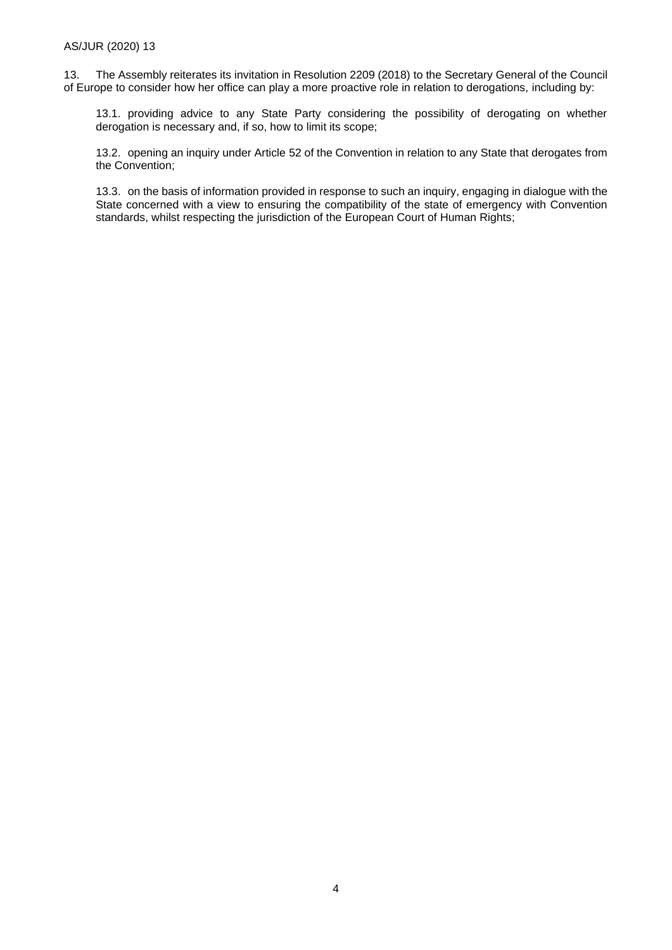13. The Assembly reiterates its invitation in Resolution 2209 (2018) to the Secretary General of the Council of Europe to consider how her office can play a more proactive role in relation to derogations, including by:

13.1. providing advice to any State Party considering the possibility of derogating on whether derogation is necessary and, if so, how to limit its scope;

13.2. opening an inquiry under Article 52 of the Convention in relation to any State that derogates from the Convention;

13.3. on the basis of information provided in response to such an inquiry, engaging in dialogue with the State concerned with a view to ensuring the compatibility of the state of emergency with Convention standards, whilst respecting the jurisdiction of the European Court of Human Rights;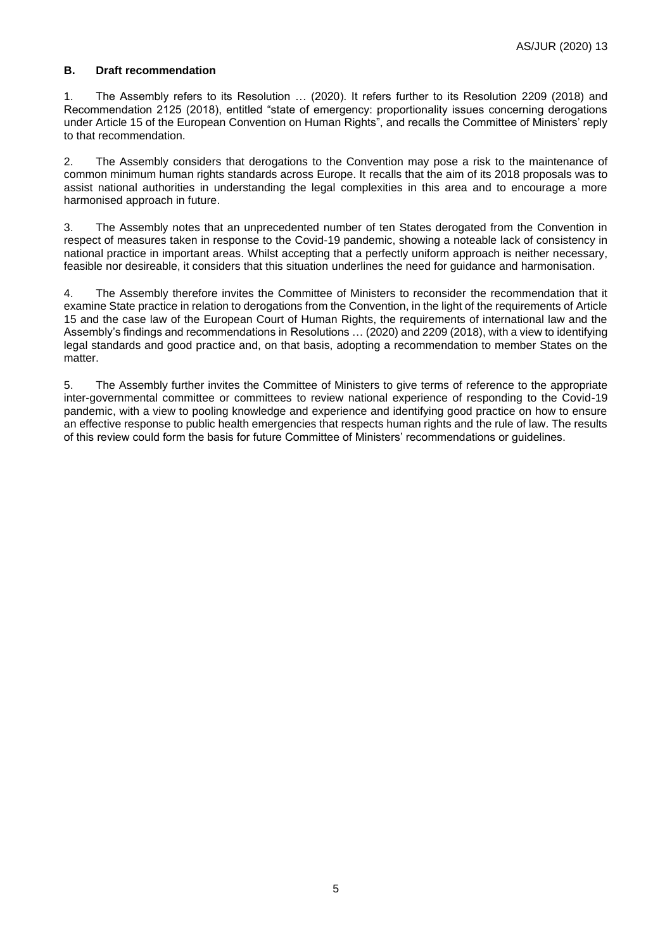#### **B. Draft recommendation**

1. The Assembly refers to its Resolution … (2020). It refers further to its Resolution 2209 (2018) and Recommendation 2125 (2018), entitled "state of emergency: proportionality issues concerning derogations under Article 15 of the European Convention on Human Rights", and recalls the Committee of Ministers' reply to that recommendation.

2. The Assembly considers that derogations to the Convention may pose a risk to the maintenance of common minimum human rights standards across Europe. It recalls that the aim of its 2018 proposals was to assist national authorities in understanding the legal complexities in this area and to encourage a more harmonised approach in future.

3. The Assembly notes that an unprecedented number of ten States derogated from the Convention in respect of measures taken in response to the Covid-19 pandemic, showing a noteable lack of consistency in national practice in important areas. Whilst accepting that a perfectly uniform approach is neither necessary, feasible nor desireable, it considers that this situation underlines the need for guidance and harmonisation.

4. The Assembly therefore invites the Committee of Ministers to reconsider the recommendation that it examine State practice in relation to derogations from the Convention, in the light of the requirements of Article 15 and the case law of the European Court of Human Rights, the requirements of international law and the Assembly's findings and recommendations in Resolutions … (2020) and 2209 (2018), with a view to identifying legal standards and good practice and, on that basis, adopting a recommendation to member States on the matter.

5. The Assembly further invites the Committee of Ministers to give terms of reference to the appropriate inter-governmental committee or committees to review national experience of responding to the Covid-19 pandemic, with a view to pooling knowledge and experience and identifying good practice on how to ensure an effective response to public health emergencies that respects human rights and the rule of law. The results of this review could form the basis for future Committee of Ministers' recommendations or guidelines.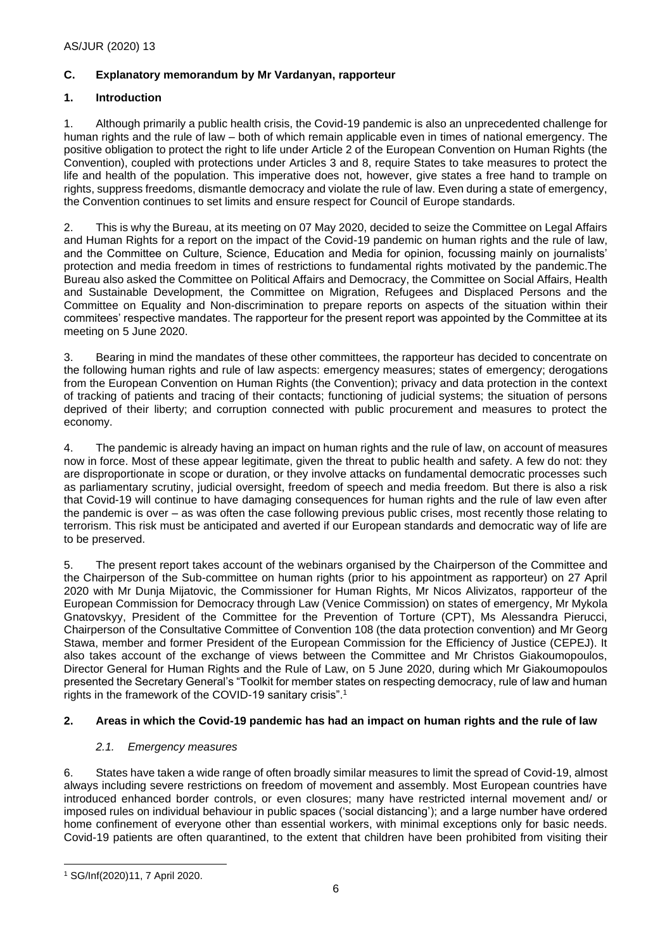## **C. Explanatory memorandum by Mr Vardanyan, rapporteur**

## **1. Introduction**

1. Although primarily a public health crisis, the Covid-19 pandemic is also an unprecedented challenge for human rights and the rule of law – both of which remain applicable even in times of national emergency. The positive obligation to protect the right to life under Article 2 of the European Convention on Human Rights (the Convention), coupled with protections under Articles 3 and 8, require States to take measures to protect the life and health of the population. This imperative does not, however, give states a free hand to trample on rights, suppress freedoms, dismantle democracy and violate the rule of law. Even during a state of emergency, the Convention continues to set limits and ensure respect for Council of Europe standards.

2. This is why the Bureau, at its meeting on 07 May 2020, decided to seize the Committee on Legal Affairs and Human Rights for a report on the impact of the Covid-19 pandemic on human rights and the rule of law, and the Committee on Culture, Science, Education and Media for opinion, focussing mainly on journalists' protection and media freedom in times of restrictions to fundamental rights motivated by the pandemic.The Bureau also asked the Committee on Political Affairs and Democracy, the Committee on Social Affairs, Health and Sustainable Development, the Committee on Migration, Refugees and Displaced Persons and the Committee on Equality and Non-discrimination to prepare reports on aspects of the situation within their commitees' respective mandates. The rapporteur for the present report was appointed by the Committee at its meeting on 5 June 2020.

3. Bearing in mind the mandates of these other committees, the rapporteur has decided to concentrate on the following human rights and rule of law aspects: emergency measures; states of emergency; derogations from the European Convention on Human Rights (the Convention); privacy and data protection in the context of tracking of patients and tracing of their contacts; functioning of judicial systems; the situation of persons deprived of their liberty; and corruption connected with public procurement and measures to protect the economy.

4. The pandemic is already having an impact on human rights and the rule of law, on account of measures now in force. Most of these appear legitimate, given the threat to public health and safety. A few do not: they are disproportionate in scope or duration, or they involve attacks on fundamental democratic processes such as parliamentary scrutiny, judicial oversight, freedom of speech and media freedom. But there is also a risk that Covid-19 will continue to have damaging consequences for human rights and the rule of law even after the pandemic is over – as was often the case following previous public crises, most recently those relating to terrorism. This risk must be anticipated and averted if our European standards and democratic way of life are to be preserved.

5. The present report takes account of the webinars organised by the Chairperson of the Committee and the Chairperson of the Sub-committee on human rights (prior to his appointment as rapporteur) on 27 April 2020 with Mr Dunja Mijatovic, the Commissioner for Human Rights, Mr Nicos Alivizatos, rapporteur of the European Commission for Democracy through Law (Venice Commission) on states of emergency, Mr Mykola Gnatovskyy, President of the Committee for the Prevention of Torture (CPT), Ms Alessandra Pierucci, Chairperson of the Consultative Committee of Convention 108 (the data protection convention) and Mr Georg Stawa, member and former President of the European Commission for the Efficiency of Justice (CEPEJ). It also takes account of the exchange of views between the Committee and Mr Christos Giakoumopoulos, Director General for Human Rights and the Rule of Law, on 5 June 2020, during which Mr Giakoumopoulos presented the Secretary General's "Toolkit for member states on respecting democracy, rule of law and human rights in the framework of the COVID-19 sanitary crisis".<sup>1</sup>

## **2. Areas in which the Covid-19 pandemic has had an impact on human rights and the rule of law**

## *2.1. Emergency measures*

6. States have taken a wide range of often broadly similar measures to limit the spread of Covid-19, almost always including severe restrictions on freedom of movement and assembly. Most European countries have introduced enhanced border controls, or even closures; many have restricted internal movement and/ or imposed rules on individual behaviour in public spaces ('social distancing'); and a large number have ordered home confinement of everyone other than essential workers, with minimal exceptions only for basic needs. Covid-19 patients are often quarantined, to the extent that children have been prohibited from visiting their

<sup>1</sup> SG/Inf(2020)11, 7 April 2020.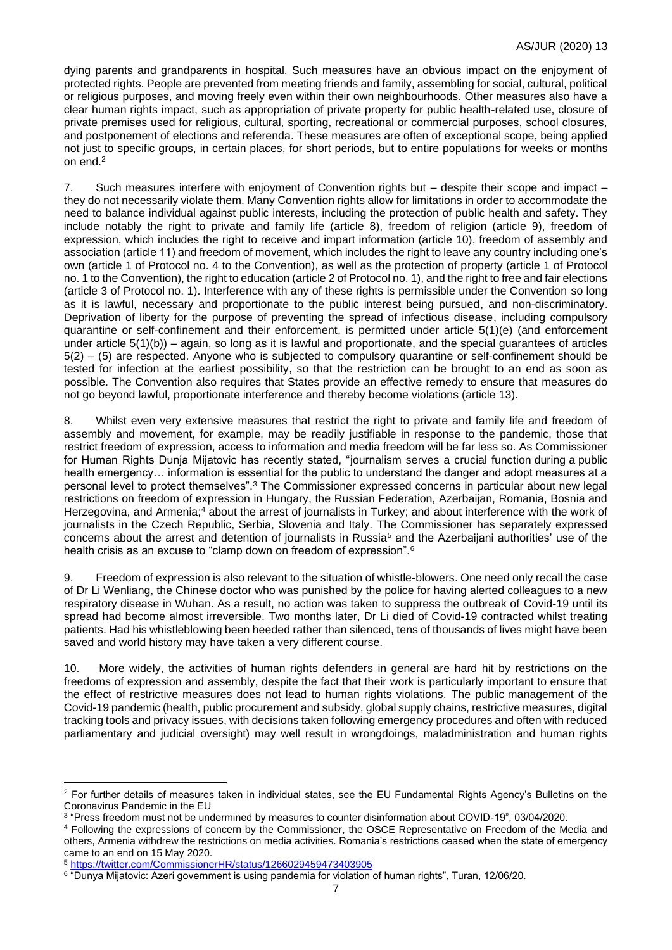dying parents and grandparents in hospital. Such measures have an obvious impact on the enjoyment of protected rights. People are prevented from meeting friends and family, assembling for social, cultural, political or religious purposes, and moving freely even within their own neighbourhoods. Other measures also have a clear human rights impact, such as appropriation of private property for public health-related use, closure of private premises used for religious, cultural, sporting, recreational or commercial purposes, school closures, and postponement of elections and referenda. These measures are often of exceptional scope, being applied not just to specific groups, in certain places, for short periods, but to entire populations for weeks or months on end.<sup>2</sup>

7. Such measures interfere with enjoyment of Convention rights but – despite their scope and impact – they do not necessarily violate them. Many Convention rights allow for limitations in order to accommodate the need to balance individual against public interests, including the protection of public health and safety. They include notably the right to private and family life (article 8), freedom of religion (article 9), freedom of expression, which includes the right to receive and impart information (article 10), freedom of assembly and association (article 11) and freedom of movement, which includes the right to leave any country including one's own (article 1 of Protocol no. 4 to the Convention), as well as the protection of property (article 1 of Protocol no. 1 to the Convention), the right to education (article 2 of Protocol no. 1), and the right to free and fair elections (article 3 of Protocol no. 1). Interference with any of these rights is permissible under the Convention so long as it is lawful, necessary and proportionate to the public interest being pursued, and non-discriminatory. Deprivation of liberty for the purpose of preventing the spread of infectious disease, including compulsory quarantine or self-confinement and their enforcement, is permitted under article 5(1)(e) (and enforcement under article 5(1)(b)) – again, so long as it is lawful and proportionate, and the special guarantees of articles 5(2) – (5) are respected. Anyone who is subjected to compulsory quarantine or self-confinement should be tested for infection at the earliest possibility, so that the restriction can be brought to an end as soon as possible. The Convention also requires that States provide an effective remedy to ensure that measures do not go beyond lawful, proportionate interference and thereby become violations (article 13).

8. Whilst even very extensive measures that restrict the right to private and family life and freedom of assembly and movement, for example, may be readily justifiable in response to the pandemic, those that restrict freedom of expression, access to information and media freedom will be far less so. As Commissioner for Human Rights Dunja Mijatovic has recently stated, "journalism serves a crucial function during a public health emergency... information is essential for the public to understand the danger and adopt measures at a personal level to protect themselves".<sup>3</sup> The Commissioner expressed concerns in particular about new legal restrictions on freedom of expression in Hungary, the Russian Federation, Azerbaijan, Romania, Bosnia and Herzegovina, and Armenia;<sup>4</sup> about the arrest of journalists in Turkey; and about interference with the work of journalists in the Czech Republic, Serbia, Slovenia and Italy. The Commissioner has separately expressed concerns about the arrest and detention of journalists in Russia<sup>5</sup> and the Azerbaijani authorities' use of the health crisis as an excuse to "clamp down on freedom of expression".<sup>6</sup>

9. Freedom of expression is also relevant to the situation of whistle-blowers. One need only recall the case of Dr Li Wenliang, the Chinese doctor who was punished by the police for having alerted colleagues to a new respiratory disease in Wuhan. As a result, no action was taken to suppress the outbreak of Covid-19 until its spread had become almost irreversible. Two months later, Dr Li died of Covid-19 contracted whilst treating patients. Had his whistleblowing been heeded rather than silenced, tens of thousands of lives might have been saved and world history may have taken a very different course.

10. More widely, the activities of human rights defenders in general are hard hit by restrictions on the freedoms of expression and assembly, despite the fact that their work is particularly important to ensure that the effect of restrictive measures does not lead to human rights violations. The public management of the Covid-19 pandemic (health, public procurement and subsidy, global supply chains, restrictive measures, digital tracking tools and privacy issues, with decisions taken following emergency procedures and often with reduced parliamentary and judicial oversight) may well result in wrongdoings, maladministration and human rights

<sup>&</sup>lt;sup>2</sup> For further details of measures taken in individual states, see the EU Fundamental Rights Agency's Bulletins on the Coronavirus Pandemic in the EU

<sup>3</sup> "Press freedom must not be undermined by measures to counter disinformation about COVID-19", 03/04/2020.

<sup>4</sup> Following the expressions of concern by the Commissioner, the OSCE Representative on Freedom of the Media and others, Armenia withdrew the restrictions on media activities. Romania's restrictions ceased when the state of emergency came to an end on 15 May 2020.

<sup>5</sup> <https://twitter.com/CommissionerHR/status/1266029459473403905>

<sup>6</sup> "Dunya Mijatovic: Azeri government is using pandemia for violation of human rights", Turan, 12/06/20.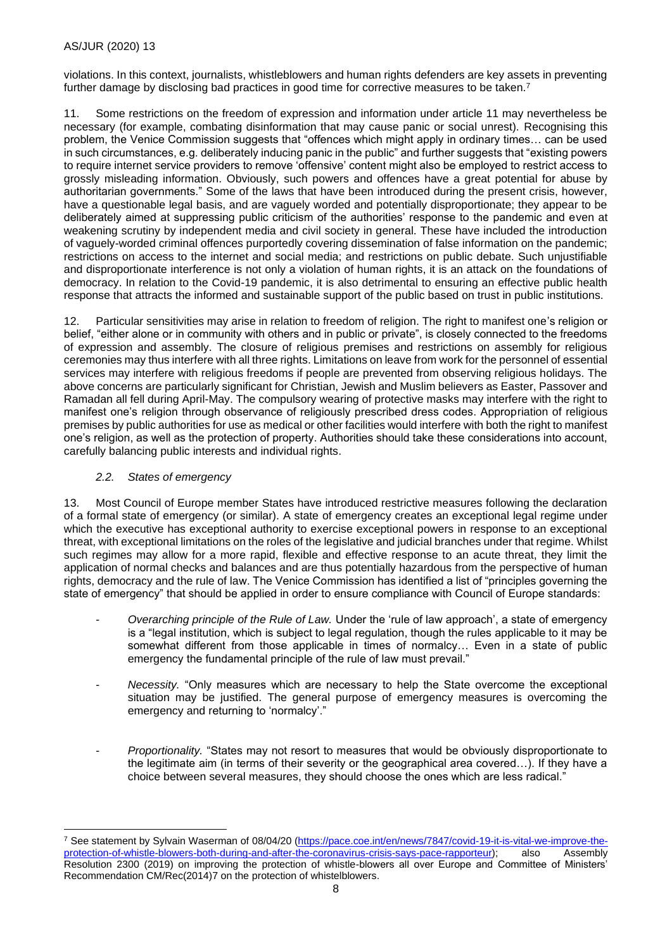violations. In this context, journalists, whistleblowers and human rights defenders are key assets in preventing further damage by disclosing bad practices in good time for corrective measures to be taken.<sup>7</sup>

11. Some restrictions on the freedom of expression and information under article 11 may nevertheless be necessary (for example, combating disinformation that may cause panic or social unrest). Recognising this problem, the Venice Commission suggests that "offences which might apply in ordinary times… can be used in such circumstances, e.g. deliberately inducing panic in the public" and further suggests that "existing powers to require internet service providers to remove 'offensive' content might also be employed to restrict access to grossly misleading information. Obviously, such powers and offences have a great potential for abuse by authoritarian governments." Some of the laws that have been introduced during the present crisis, however, have a questionable legal basis, and are vaguely worded and potentially disproportionate; they appear to be deliberately aimed at suppressing public criticism of the authorities' response to the pandemic and even at weakening scrutiny by independent media and civil society in general. These have included the introduction of vaguely-worded criminal offences purportedly covering dissemination of false information on the pandemic; restrictions on access to the internet and social media; and restrictions on public debate. Such unjustifiable and disproportionate interference is not only a violation of human rights, it is an attack on the foundations of democracy. In relation to the Covid-19 pandemic, it is also detrimental to ensuring an effective public health response that attracts the informed and sustainable support of the public based on trust in public institutions.

12. Particular sensitivities may arise in relation to freedom of religion. The right to manifest one's religion or belief, "either alone or in community with others and in public or private", is closely connected to the freedoms of expression and assembly. The closure of religious premises and restrictions on assembly for religious ceremonies may thus interfere with all three rights. Limitations on leave from work for the personnel of essential services may interfere with religious freedoms if people are prevented from observing religious holidays. The above concerns are particularly significant for Christian, Jewish and Muslim believers as Easter, Passover and Ramadan all fell during April-May. The compulsory wearing of protective masks may interfere with the right to manifest one's religion through observance of religiously prescribed dress codes. Appropriation of religious premises by public authorities for use as medical or other facilities would interfere with both the right to manifest one's religion, as well as the protection of property. Authorities should take these considerations into account, carefully balancing public interests and individual rights.

## *2.2. States of emergency*

13. Most Council of Europe member States have introduced restrictive measures following the declaration of a formal state of emergency (or similar). A state of emergency creates an exceptional legal regime under which the executive has exceptional authority to exercise exceptional powers in response to an exceptional threat, with exceptional limitations on the roles of the legislative and judicial branches under that regime. Whilst such regimes may allow for a more rapid, flexible and effective response to an acute threat, they limit the application of normal checks and balances and are thus potentially hazardous from the perspective of human rights, democracy and the rule of law. The Venice Commission has identified a list of "principles governing the state of emergency" that should be applied in order to ensure compliance with Council of Europe standards:

- *Overarching principle of the Rule of Law.* Under the 'rule of law approach', a state of emergency is a "legal institution, which is subject to legal regulation, though the rules applicable to it may be somewhat different from those applicable in times of normalcy... Even in a state of public emergency the fundamental principle of the rule of law must prevail."
- *Necessity.* "Only measures which are necessary to help the State overcome the exceptional situation may be justified. The general purpose of emergency measures is overcoming the emergency and returning to 'normalcy'."
- *Proportionality.* "States may not resort to measures that would be obviously disproportionate to the legitimate aim (in terms of their severity or the geographical area covered…). If they have a choice between several measures, they should choose the ones which are less radical."

<sup>7</sup> See statement by Sylvain Waserman of 08/04/20 [\(https://pace.coe.int/en/news/7847/covid-19-it-is-vital-we-improve-the](https://pace.coe.int/en/news/7847/covid-19-it-is-vital-we-improve-the-protection-of-whistle-blowers-both-during-and-after-the-coronavirus-crisis-says-pace-rapporteur)[protection-of-whistle-blowers-both-during-and-after-the-coronavirus-crisis-says-pace-rapporteur\)](https://pace.coe.int/en/news/7847/covid-19-it-is-vital-we-improve-the-protection-of-whistle-blowers-both-during-and-after-the-coronavirus-crisis-says-pace-rapporteur); also Assembly Resolution 2300 (2019) on improving the protection of whistle-blowers all over Europe and Committee of Ministers' Recommendation CM/Rec(2014)7 on the protection of whistelblowers.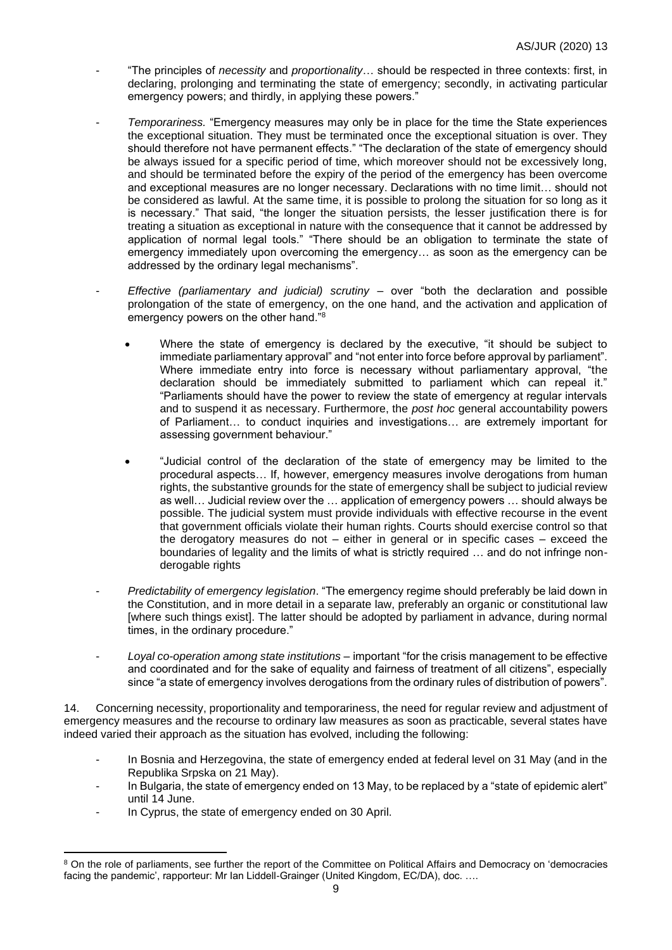- "The principles of *necessity* and *proportionality*… should be respected in three contexts: first, in declaring, prolonging and terminating the state of emergency; secondly, in activating particular emergency powers; and thirdly, in applying these powers."
- *Temporariness.* "Emergency measures may only be in place for the time the State experiences the exceptional situation. They must be terminated once the exceptional situation is over. They should therefore not have permanent effects." "The declaration of the state of emergency should be always issued for a specific period of time, which moreover should not be excessively long, and should be terminated before the expiry of the period of the emergency has been overcome and exceptional measures are no longer necessary. Declarations with no time limit… should not be considered as lawful. At the same time, it is possible to prolong the situation for so long as it is necessary." That said, "the longer the situation persists, the lesser justification there is for treating a situation as exceptional in nature with the consequence that it cannot be addressed by application of normal legal tools." "There should be an obligation to terminate the state of emergency immediately upon overcoming the emergency… as soon as the emergency can be addressed by the ordinary legal mechanisms".
- *Effective (parliamentary and judicial) scrutiny –* over "both the declaration and possible prolongation of the state of emergency, on the one hand, and the activation and application of emergency powers on the other hand."<sup>8</sup>
	- Where the state of emergency is declared by the executive, "it should be subject to immediate parliamentary approval" and "not enter into force before approval by parliament". Where immediate entry into force is necessary without parliamentary approval, "the declaration should be immediately submitted to parliament which can repeal it." "Parliaments should have the power to review the state of emergency at regular intervals and to suspend it as necessary. Furthermore, the *post hoc* general accountability powers of Parliament… to conduct inquiries and investigations… are extremely important for assessing government behaviour."
	- "Judicial control of the declaration of the state of emergency may be limited to the procedural aspects… If, however, emergency measures involve derogations from human rights, the substantive grounds for the state of emergency shall be subject to judicial review as well… Judicial review over the … application of emergency powers … should always be possible. The judicial system must provide individuals with effective recourse in the event that government officials violate their human rights. Courts should exercise control so that the derogatory measures do not – either in general or in specific cases – exceed the boundaries of legality and the limits of what is strictly required … and do not infringe nonderogable rights
- *Predictability of emergency legislation*. "The emergency regime should preferably be laid down in the Constitution, and in more detail in a separate law, preferably an organic or constitutional law [where such things exist]. The latter should be adopted by parliament in advance, during normal times, in the ordinary procedure."
- *Loyal co-operation among state institutions* important "for the crisis management to be effective and coordinated and for the sake of equality and fairness of treatment of all citizens", especially since "a state of emergency involves derogations from the ordinary rules of distribution of powers".

14. Concerning necessity, proportionality and temporariness, the need for regular review and adjustment of emergency measures and the recourse to ordinary law measures as soon as practicable, several states have indeed varied their approach as the situation has evolved, including the following:

- In Bosnia and Herzegovina, the state of emergency ended at federal level on 31 May (and in the Republika Srpska on 21 May).
- In Bulgaria, the state of emergency ended on 13 May, to be replaced by a "state of epidemic alert" until 14 June.
- In Cyprus, the state of emergency ended on 30 April.

<sup>&</sup>lt;sup>8</sup> On the role of parliaments, see further the report of the Committee on Political Affairs and Democracy on 'democracies facing the pandemic', rapporteur: Mr Ian Liddell-Grainger (United Kingdom, EC/DA), doc. ....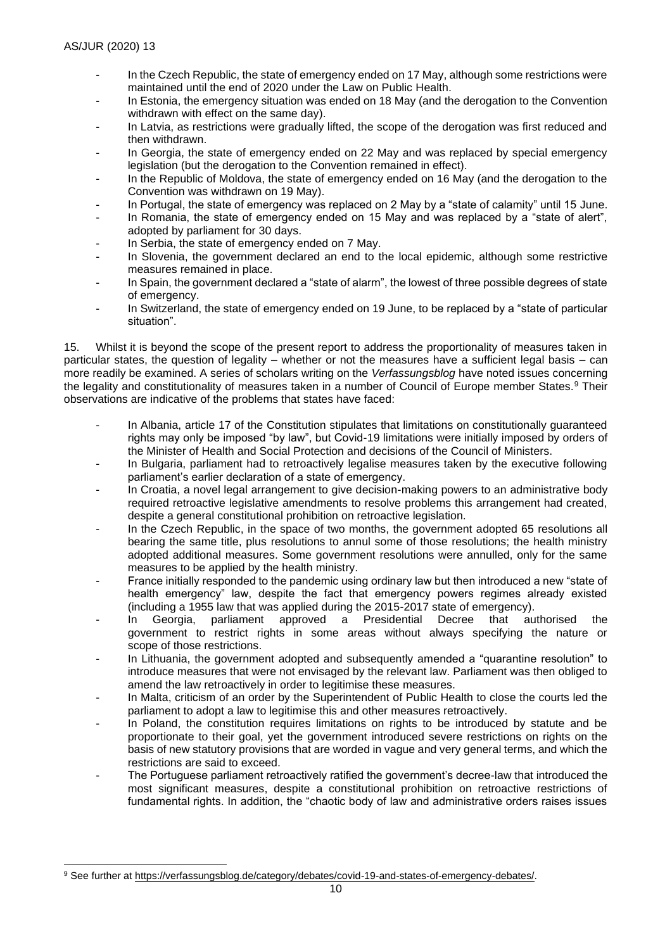- In the Czech Republic, the state of emergency ended on 17 May, although some restrictions were maintained until the end of 2020 under the Law on Public Health.
- In Estonia, the emergency situation was ended on 18 May (and the derogation to the Convention withdrawn with effect on the same day).
- In Latvia, as restrictions were gradually lifted, the scope of the derogation was first reduced and then withdrawn.
- In Georgia, the state of emergency ended on 22 May and was replaced by special emergency legislation (but the derogation to the Convention remained in effect).
- In the Republic of Moldova, the state of emergency ended on 16 May (and the derogation to the Convention was withdrawn on 19 May).
- In Portugal, the state of emergency was replaced on 2 May by a "state of calamity" until 15 June.
- In Romania, the state of emergency ended on 15 May and was replaced by a "state of alert", adopted by parliament for 30 days.
- In Serbia, the state of emergency ended on 7 May.
- In Slovenia, the government declared an end to the local epidemic, although some restrictive measures remained in place.
- In Spain, the government declared a "state of alarm", the lowest of three possible degrees of state of emergency.
- In Switzerland, the state of emergency ended on 19 June, to be replaced by a "state of particular situation".

15. Whilst it is beyond the scope of the present report to address the proportionality of measures taken in particular states, the question of legality – whether or not the measures have a sufficient legal basis – can more readily be examined. A series of scholars writing on the *Verfassungsblog* have noted issues concerning the legality and constitutionality of measures taken in a number of Council of Europe member States.<sup>9</sup> Their observations are indicative of the problems that states have faced:

- In Albania, article 17 of the Constitution stipulates that limitations on constitutionally guaranteed rights may only be imposed "by law", but Covid-19 limitations were initially imposed by orders of the Minister of Health and Social Protection and decisions of the Council of Ministers.
- In Bulgaria, parliament had to retroactively legalise measures taken by the executive following parliament's earlier declaration of a state of emergency.
- In Croatia, a novel legal arrangement to give decision-making powers to an administrative body required retroactive legislative amendments to resolve problems this arrangement had created, despite a general constitutional prohibition on retroactive legislation.
- In the Czech Republic, in the space of two months, the government adopted 65 resolutions all bearing the same title, plus resolutions to annul some of those resolutions; the health ministry adopted additional measures. Some government resolutions were annulled, only for the same measures to be applied by the health ministry.
- France initially responded to the pandemic using ordinary law but then introduced a new "state of health emergency" law, despite the fact that emergency powers regimes already existed (including a 1955 law that was applied during the 2015-2017 state of emergency).
- In Georgia, parliament approved a Presidential Decree that authorised the government to restrict rights in some areas without always specifying the nature or scope of those restrictions.
- In Lithuania, the government adopted and subsequently amended a "quarantine resolution" to introduce measures that were not envisaged by the relevant law. Parliament was then obliged to amend the law retroactively in order to legitimise these measures.
- In Malta, criticism of an order by the Superintendent of Public Health to close the courts led the parliament to adopt a law to legitimise this and other measures retroactively.
- In Poland, the constitution requires limitations on rights to be introduced by statute and be proportionate to their goal, yet the government introduced severe restrictions on rights on the basis of new statutory provisions that are worded in vague and very general terms, and which the restrictions are said to exceed.
- The Portuguese parliament retroactively ratified the government's decree-law that introduced the most significant measures, despite a constitutional prohibition on retroactive restrictions of fundamental rights. In addition, the "chaotic body of law and administrative orders raises issues

<sup>9</sup> See further a[t https://verfassungsblog.de/category/debates/covid-19-and-states-of-emergency-debates/.](https://verfassungsblog.de/category/debates/covid-19-and-states-of-emergency-debates/)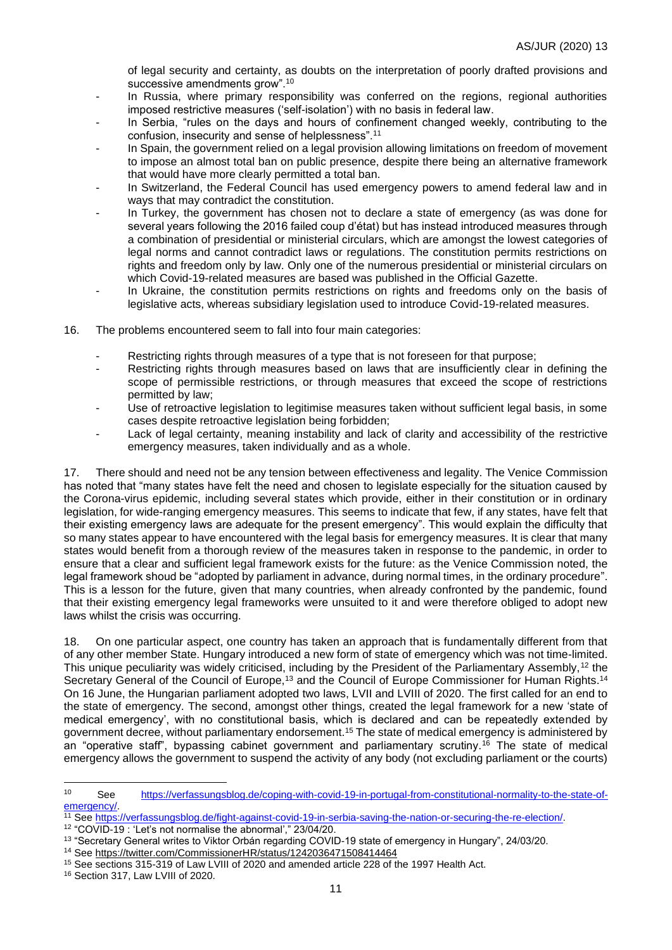of legal security and certainty, as doubts on the interpretation of poorly drafted provisions and successive amendments grow".<sup>10</sup>

- In Russia, where primary responsibility was conferred on the regions, regional authorities imposed restrictive measures ('self-isolation') with no basis in federal law.
- In Serbia, "rules on the days and hours of confinement changed weekly, contributing to the confusion, insecurity and sense of helplessness".<sup>11</sup>
- In Spain, the government relied on a legal provision allowing limitations on freedom of movement to impose an almost total ban on public presence, despite there being an alternative framework that would have more clearly permitted a total ban.
- In Switzerland, the Federal Council has used emergency powers to amend federal law and in ways that may contradict the constitution.
- In Turkey, the government has chosen not to declare a state of emergency (as was done for several years following the 2016 failed coup d'état) but has instead introduced measures through a combination of presidential or ministerial circulars, which are amongst the lowest categories of legal norms and cannot contradict laws or regulations. The constitution permits restrictions on rights and freedom only by law. Only one of the numerous presidential or ministerial circulars on which Covid-19-related measures are based was published in the Official Gazette.
- In Ukraine, the constitution permits restrictions on rights and freedoms only on the basis of legislative acts, whereas subsidiary legislation used to introduce Covid-19-related measures.
- 16. The problems encountered seem to fall into four main categories:
	- Restricting rights through measures of a type that is not foreseen for that purpose;
	- Restricting rights through measures based on laws that are insufficiently clear in defining the scope of permissible restrictions, or through measures that exceed the scope of restrictions permitted by law;
	- Use of retroactive legislation to legitimise measures taken without sufficient legal basis, in some cases despite retroactive legislation being forbidden;
	- Lack of legal certainty, meaning instability and lack of clarity and accessibility of the restrictive emergency measures, taken individually and as a whole.

17. There should and need not be any tension between effectiveness and legality. The Venice Commission has noted that "many states have felt the need and chosen to legislate especially for the situation caused by the Corona-virus epidemic, including several states which provide, either in their constitution or in ordinary legislation, for wide-ranging emergency measures. This seems to indicate that few, if any states, have felt that their existing emergency laws are adequate for the present emergency". This would explain the difficulty that so many states appear to have encountered with the legal basis for emergency measures. It is clear that many states would benefit from a thorough review of the measures taken in response to the pandemic, in order to ensure that a clear and sufficient legal framework exists for the future: as the Venice Commission noted, the legal framework shoud be "adopted by parliament in advance, during normal times, in the ordinary procedure". This is a lesson for the future, given that many countries, when already confronted by the pandemic, found that their existing emergency legal frameworks were unsuited to it and were therefore obliged to adopt new laws whilst the crisis was occurring.

18. On one particular aspect, one country has taken an approach that is fundamentally different from that of any other member State. Hungary introduced a new form of state of emergency which was not time-limited. This unique peculiarity was widely criticised, including by the President of the Parliamentary Assembly,<sup>12</sup> the Secretary General of the Council of Europe,<sup>13</sup> and the Council of Europe Commissioner for Human Rights.<sup>14</sup> On 16 June, the Hungarian parliament adopted two laws, LVII and LVIII of 2020. The first called for an end to the state of emergency. The second, amongst other things, created the legal framework for a new 'state of medical emergency', with no constitutional basis, which is declared and can be repeatedly extended by government decree, without parliamentary endorsement.<sup>15</sup> The state of medical emergency is administered by an "operative staff", bypassing cabinet government and parliamentary scrutiny.<sup>16</sup> The state of medical emergency allows the government to suspend the activity of any body (not excluding parliament or the courts)

<sup>16</sup> Section 317, Law LVIII of 2020.

<sup>10</sup> See [https://verfassungsblog.de/coping-with-covid-19-in-portugal-from-constitutional-normality-to-the-state-of](https://verfassungsblog.de/coping-with-covid-19-in-portugal-from-constitutional-normality-to-the-state-of-emergency/)[emergency/.](https://verfassungsblog.de/coping-with-covid-19-in-portugal-from-constitutional-normality-to-the-state-of-emergency/)

<sup>11</sup> See [https://verfassungsblog.de/fight-against-covid-19-in-serbia-saving-the-nation-or-securing-the-re-election/.](https://verfassungsblog.de/fight-against-covid-19-in-serbia-saving-the-nation-or-securing-the-re-election/)

<sup>12</sup> "COVID-19 : 'Let's not normalise the abnormal'," 23/04/20.

<sup>13</sup> "Secretary General writes to Viktor Orbán regarding COVID-19 state of emergency in Hungary", 24/03/20.

<sup>&</sup>lt;sup>14</sup> See<https://twitter.com/CommissionerHR/status/1242036471508414464>

<sup>15</sup> See sections 315-319 of Law LVIII of 2020 and amended article 228 of the 1997 Health Act.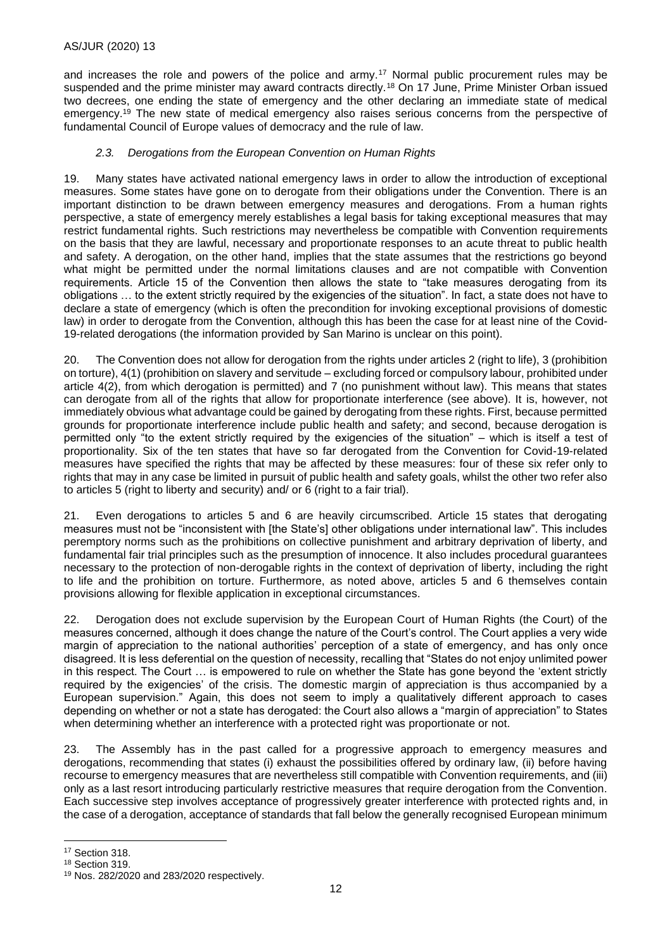and increases the role and powers of the police and army.<sup>17</sup> Normal public procurement rules may be suspended and the prime minister may award contracts directly.<sup>18</sup> On 17 June, Prime Minister Orban issued two decrees, one ending the state of emergency and the other declaring an immediate state of medical emergency.<sup>19</sup> The new state of medical emergency also raises serious concerns from the perspective of fundamental Council of Europe values of democracy and the rule of law.

#### *2.3. Derogations from the European Convention on Human Rights*

19. Many states have activated national emergency laws in order to allow the introduction of exceptional measures. Some states have gone on to derogate from their obligations under the Convention. There is an important distinction to be drawn between emergency measures and derogations. From a human rights perspective, a state of emergency merely establishes a legal basis for taking exceptional measures that may restrict fundamental rights. Such restrictions may nevertheless be compatible with Convention requirements on the basis that they are lawful, necessary and proportionate responses to an acute threat to public health and safety. A derogation, on the other hand, implies that the state assumes that the restrictions go beyond what might be permitted under the normal limitations clauses and are not compatible with Convention requirements. Article 15 of the Convention then allows the state to "take measures derogating from its obligations … to the extent strictly required by the exigencies of the situation". In fact, a state does not have to declare a state of emergency (which is often the precondition for invoking exceptional provisions of domestic law) in order to derogate from the Convention, although this has been the case for at least nine of the Covid-19-related derogations (the information provided by San Marino is unclear on this point).

20. The Convention does not allow for derogation from the rights under articles 2 (right to life), 3 (prohibition on torture), 4(1) (prohibition on slavery and servitude – excluding forced or compulsory labour, prohibited under article 4(2), from which derogation is permitted) and 7 (no punishment without law). This means that states can derogate from all of the rights that allow for proportionate interference (see above). It is, however, not immediately obvious what advantage could be gained by derogating from these rights. First, because permitted grounds for proportionate interference include public health and safety; and second, because derogation is permitted only "to the extent strictly required by the exigencies of the situation" – which is itself a test of proportionality. Six of the ten states that have so far derogated from the Convention for Covid-19-related measures have specified the rights that may be affected by these measures: four of these six refer only to rights that may in any case be limited in pursuit of public health and safety goals, whilst the other two refer also to articles 5 (right to liberty and security) and/ or 6 (right to a fair trial).

21. Even derogations to articles 5 and 6 are heavily circumscribed. Article 15 states that derogating measures must not be "inconsistent with [the State's] other obligations under international law". This includes peremptory norms such as the prohibitions on collective punishment and arbitrary deprivation of liberty, and fundamental fair trial principles such as the presumption of innocence. It also includes procedural guarantees necessary to the protection of non-derogable rights in the context of deprivation of liberty, including the right to life and the prohibition on torture. Furthermore, as noted above, articles 5 and 6 themselves contain provisions allowing for flexible application in exceptional circumstances.

22. Derogation does not exclude supervision by the European Court of Human Rights (the Court) of the measures concerned, although it does change the nature of the Court's control. The Court applies a very wide margin of appreciation to the national authorities' perception of a state of emergency, and has only once disagreed. It is less deferential on the question of necessity, recalling that "States do not enjoy unlimited power in this respect. The Court … is empowered to rule on whether the State has gone beyond the 'extent strictly required by the exigencies' of the crisis. The domestic margin of appreciation is thus accompanied by a European supervision." Again, this does not seem to imply a qualitatively different approach to cases depending on whether or not a state has derogated: the Court also allows a "margin of appreciation" to States when determining whether an interference with a protected right was proportionate or not.

23. The Assembly has in the past called for a progressive approach to emergency measures and derogations, recommending that states (i) exhaust the possibilities offered by ordinary law, (ii) before having recourse to emergency measures that are nevertheless still compatible with Convention requirements, and (iii) only as a last resort introducing particularly restrictive measures that require derogation from the Convention. Each successive step involves acceptance of progressively greater interference with protected rights and, in the case of a derogation, acceptance of standards that fall below the generally recognised European minimum

<sup>17</sup> Section 318.

<sup>18</sup> Section 319.

<sup>19</sup> Nos. 282/2020 and 283/2020 respectively.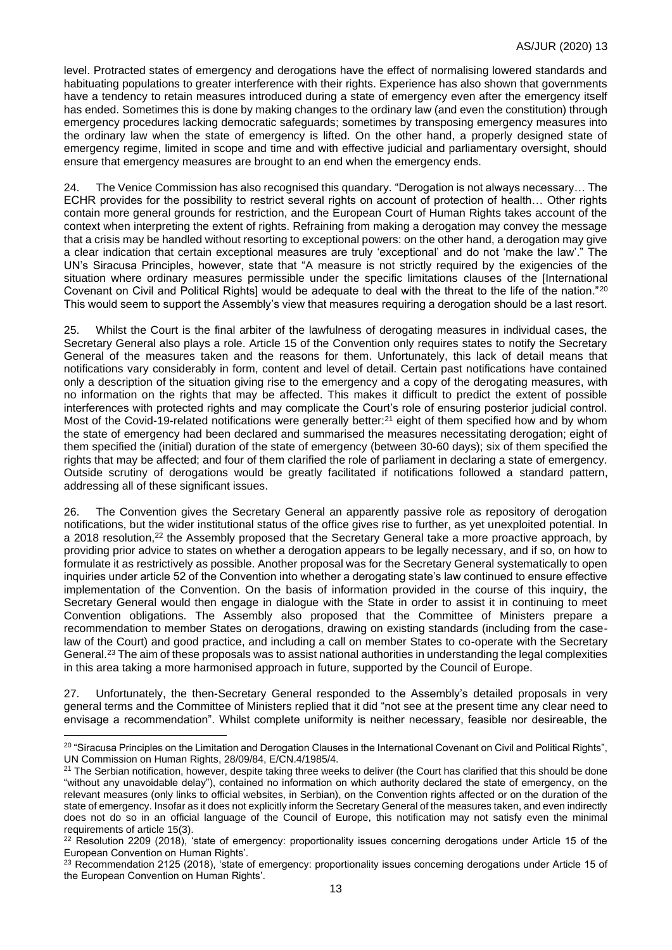level. Protracted states of emergency and derogations have the effect of normalising lowered standards and habituating populations to greater interference with their rights. Experience has also shown that governments have a tendency to retain measures introduced during a state of emergency even after the emergency itself has ended. Sometimes this is done by making changes to the ordinary law (and even the constitution) through emergency procedures lacking democratic safeguards; sometimes by transposing emergency measures into the ordinary law when the state of emergency is lifted. On the other hand, a properly designed state of emergency regime, limited in scope and time and with effective judicial and parliamentary oversight, should ensure that emergency measures are brought to an end when the emergency ends.

24. The Venice Commission has also recognised this quandary. "Derogation is not always necessary… The ECHR provides for the possibility to restrict several rights on account of protection of health… Other rights contain more general grounds for restriction, and the European Court of Human Rights takes account of the context when interpreting the extent of rights. Refraining from making a derogation may convey the message that a crisis may be handled without resorting to exceptional powers: on the other hand, a derogation may give a clear indication that certain exceptional measures are truly 'exceptional' and do not 'make the law'." The UN's Siracusa Principles, however, state that "A measure is not strictly required by the exigencies of the situation where ordinary measures permissible under the specific limitations clauses of the [International Covenant on Civil and Political Rights] would be adequate to deal with the threat to the life of the nation."<sup>20</sup> This would seem to support the Assembly's view that measures requiring a derogation should be a last resort.

25. Whilst the Court is the final arbiter of the lawfulness of derogating measures in individual cases, the Secretary General also plays a role. Article 15 of the Convention only requires states to notify the Secretary General of the measures taken and the reasons for them. Unfortunately, this lack of detail means that notifications vary considerably in form, content and level of detail. Certain past notifications have contained only a description of the situation giving rise to the emergency and a copy of the derogating measures, with no information on the rights that may be affected. This makes it difficult to predict the extent of possible interferences with protected rights and may complicate the Court's role of ensuring posterior judicial control. Most of the Covid-19-related notifications were generally better:<sup>21</sup> eight of them specified how and by whom the state of emergency had been declared and summarised the measures necessitating derogation; eight of them specified the (initial) duration of the state of emergency (between 30-60 days); six of them specified the rights that may be affected; and four of them clarified the role of parliament in declaring a state of emergency. Outside scrutiny of derogations would be greatly facilitated if notifications followed a standard pattern, addressing all of these significant issues.

26. The Convention gives the Secretary General an apparently passive role as repository of derogation notifications, but the wider institutional status of the office gives rise to further, as yet unexploited potential. In a 2018 resolution.<sup>22</sup> the Assembly proposed that the Secretary General take a more proactive approach, by providing prior advice to states on whether a derogation appears to be legally necessary, and if so, on how to formulate it as restrictively as possible. Another proposal was for the Secretary General systematically to open inquiries under article 52 of the Convention into whether a derogating state's law continued to ensure effective implementation of the Convention. On the basis of information provided in the course of this inquiry, the Secretary General would then engage in dialogue with the State in order to assist it in continuing to meet Convention obligations. The Assembly also proposed that the Committee of Ministers prepare a recommendation to member States on derogations, drawing on existing standards (including from the caselaw of the Court) and good practice, and including a call on member States to co-operate with the Secretary General.<sup>23</sup> The aim of these proposals was to assist national authorities in understanding the legal complexities in this area taking a more harmonised approach in future, supported by the Council of Europe.

27. Unfortunately, the then-Secretary General responded to the Assembly's detailed proposals in very general terms and the Committee of Ministers replied that it did "not see at the present time any clear need to envisage a recommendation". Whilst complete uniformity is neither necessary, feasible nor desireable, the

<sup>&</sup>lt;sup>20</sup> "Siracusa Principles on the Limitation and Derogation Clauses in the International Covenant on Civil and Political Rights", UN Commission on Human Rights, 28/09/84, E/CN.4/1985/4.

<sup>&</sup>lt;sup>21</sup> The Serbian notification, however, despite taking three weeks to deliver (the Court has clarified that this should be done "without any unavoidable delay"), contained no information on which authority declared the state of emergency, on the relevant measures (only links to official websites, in Serbian), on the Convention rights affected or on the duration of the state of emergency. Insofar as it does not explicitly inform the Secretary General of the measures taken, and even indirectly does not do so in an official language of the Council of Europe, this notification may not satisfy even the minimal requirements of article 15(3).

<sup>&</sup>lt;sup>22</sup> Resolution 2209 (2018), 'state of emergency: proportionality issues concerning derogations under Article 15 of the European Convention on Human Rights'.

<sup>&</sup>lt;sup>23</sup> Recommendation 2125 (2018), 'state of emergency: proportionality issues concerning derogations under Article 15 of the European Convention on Human Rights'.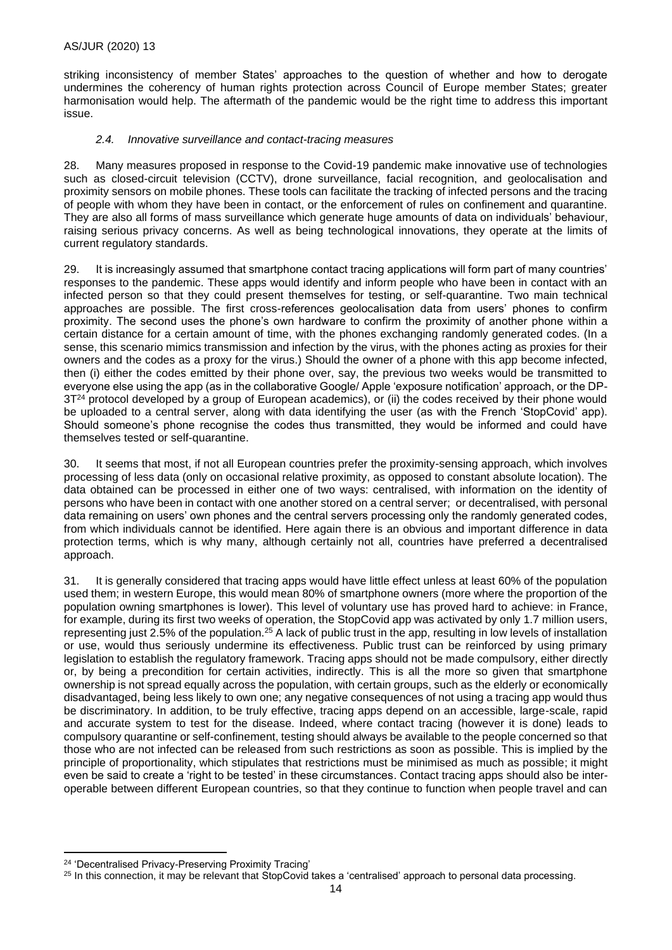striking inconsistency of member States' approaches to the question of whether and how to derogate undermines the coherency of human rights protection across Council of Europe member States; greater harmonisation would help. The aftermath of the pandemic would be the right time to address this important issue.

#### *2.4. Innovative surveillance and contact-tracing measures*

28. Many measures proposed in response to the Covid-19 pandemic make innovative use of technologies such as closed-circuit television (CCTV), drone surveillance, facial recognition, and geolocalisation and proximity sensors on mobile phones. These tools can facilitate the tracking of infected persons and the tracing of people with whom they have been in contact, or the enforcement of rules on confinement and quarantine. They are also all forms of mass surveillance which generate huge amounts of data on individuals' behaviour, raising serious privacy concerns. As well as being technological innovations, they operate at the limits of current regulatory standards.

29. It is increasingly assumed that smartphone contact tracing applications will form part of many countries' responses to the pandemic. These apps would identify and inform people who have been in contact with an infected person so that they could present themselves for testing, or self-quarantine. Two main technical approaches are possible. The first cross-references geolocalisation data from users' phones to confirm proximity. The second uses the phone's own hardware to confirm the proximity of another phone within a certain distance for a certain amount of time, with the phones exchanging randomly generated codes. (In a sense, this scenario mimics transmission and infection by the virus, with the phones acting as proxies for their owners and the codes as a proxy for the virus.) Should the owner of a phone with this app become infected, then (i) either the codes emitted by their phone over, say, the previous two weeks would be transmitted to everyone else using the app (as in the collaborative Google/ Apple 'exposure notification' approach, or the DP-3T<sup>24</sup> protocol developed by a group of European academics), or (ii) the codes received by their phone would be uploaded to a central server, along with data identifying the user (as with the French 'StopCovid' app). Should someone's phone recognise the codes thus transmitted, they would be informed and could have themselves tested or self-quarantine.

30. It seems that most, if not all European countries prefer the proximity-sensing approach, which involves processing of less data (only on occasional relative proximity, as opposed to constant absolute location). The data obtained can be processed in either one of two ways: centralised, with information on the identity of persons who have been in contact with one another stored on a central server; or decentralised, with personal data remaining on users' own phones and the central servers processing only the randomly generated codes, from which individuals cannot be identified. Here again there is an obvious and important difference in data protection terms, which is why many, although certainly not all, countries have preferred a decentralised approach.

31. It is generally considered that tracing apps would have little effect unless at least 60% of the population used them; in western Europe, this would mean 80% of smartphone owners (more where the proportion of the population owning smartphones is lower). This level of voluntary use has proved hard to achieve: in France, for example, during its first two weeks of operation, the StopCovid app was activated by only 1.7 million users, representing just 2.5% of the population.<sup>25</sup> A lack of public trust in the app, resulting in low levels of installation or use, would thus seriously undermine its effectiveness. Public trust can be reinforced by using primary legislation to establish the regulatory framework. Tracing apps should not be made compulsory, either directly or, by being a precondition for certain activities, indirectly. This is all the more so given that smartphone ownership is not spread equally across the population, with certain groups, such as the elderly or economically disadvantaged, being less likely to own one; any negative consequences of not using a tracing app would thus be discriminatory. In addition, to be truly effective, tracing apps depend on an accessible, large-scale, rapid and accurate system to test for the disease. Indeed, where contact tracing (however it is done) leads to compulsory quarantine or self-confinement, testing should always be available to the people concerned so that those who are not infected can be released from such restrictions as soon as possible. This is implied by the principle of proportionality, which stipulates that restrictions must be minimised as much as possible; it might even be said to create a 'right to be tested' in these circumstances. Contact tracing apps should also be interoperable between different European countries, so that they continue to function when people travel and can

<sup>24</sup> 'Decentralised Privacy-Preserving Proximity Tracing'

<sup>&</sup>lt;sup>25</sup> In this connection, it may be relevant that StopCovid takes a 'centralised' approach to personal data processing.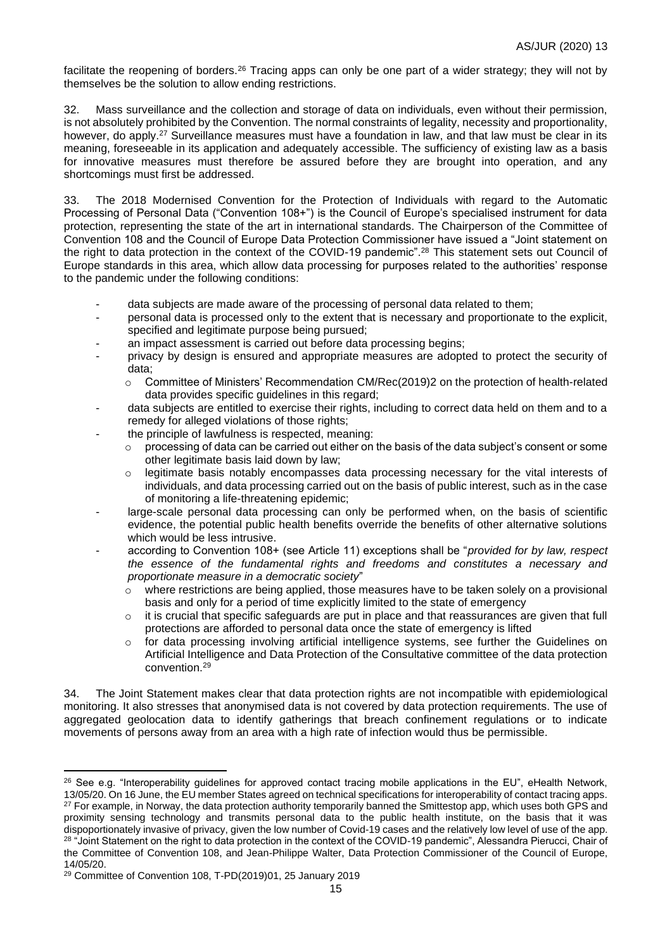facilitate the reopening of borders.<sup>26</sup> Tracing apps can only be one part of a wider strategy; they will not by themselves be the solution to allow ending restrictions.

32. Mass surveillance and the collection and storage of data on individuals, even without their permission, is not absolutely prohibited by the Convention. The normal constraints of legality, necessity and proportionality, however, do apply.<sup>27</sup> Surveillance measures must have a foundation in law, and that law must be clear in its meaning, foreseeable in its application and adequately accessible. The sufficiency of existing law as a basis for innovative measures must therefore be assured before they are brought into operation, and any shortcomings must first be addressed.

33. The 2018 Modernised Convention for the Protection of Individuals with regard to the Automatic Processing of Personal Data ("Convention 108+") is the Council of Europe's specialised instrument for data protection, representing the state of the art in international standards. The Chairperson of the Committee of Convention 108 and the Council of Europe Data Protection Commissioner have issued a "Joint statement on the right to data protection in the context of the COVID-19 pandemic".<sup>28</sup> This statement sets out Council of Europe standards in this area, which allow data processing for purposes related to the authorities' response to the pandemic under the following conditions:

- data subjects are made aware of the processing of personal data related to them;
- personal data is processed only to the extent that is necessary and proportionate to the explicit, specified and legitimate purpose being pursued;
- an impact assessment is carried out before data processing begins;
- privacy by design is ensured and appropriate measures are adopted to protect the security of data;
	- o Committee of Ministers' Recommendation CM/Rec(2019)2 on the protection of health-related data provides specific guidelines in this regard;
- data subjects are entitled to exercise their rights, including to correct data held on them and to a remedy for alleged violations of those rights;
- the principle of lawfulness is respected, meaning:
	- $\circ$  processing of data can be carried out either on the basis of the data subject's consent or some other legitimate basis laid down by law;
	- o legitimate basis notably encompasses data processing necessary for the vital interests of individuals, and data processing carried out on the basis of public interest, such as in the case of monitoring a life-threatening epidemic;
- large-scale personal data processing can only be performed when, on the basis of scientific evidence, the potential public health benefits override the benefits of other alternative solutions which would be less intrusive.
- according to Convention 108+ (see Article 11) exceptions shall be "*provided for by law, respect the essence of the fundamental rights and freedoms and constitutes a necessary and proportionate measure in a democratic society*"
	- $\circ$  where restrictions are being applied, those measures have to be taken solely on a provisional basis and only for a period of time explicitly limited to the state of emergency
	- $\circ$  it is crucial that specific safeguards are put in place and that reassurances are given that full protections are afforded to personal data once the state of emergency is lifted
	- o for data processing involving artificial intelligence systems, see further the Guidelines on Artificial Intelligence and Data Protection of the Consultative committee of the data protection convention.<sup>29</sup>

34. The Joint Statement makes clear that data protection rights are not incompatible with epidemiological monitoring. It also stresses that anonymised data is not covered by data protection requirements. The use of aggregated geolocation data to identify gatherings that breach confinement regulations or to indicate movements of persons away from an area with a high rate of infection would thus be permissible.

<sup>&</sup>lt;sup>26</sup> See e.g. "Interoperability guidelines for approved contact tracing mobile applications in the EU", eHealth Network, 13/05/20. On 16 June, the EU member States agreed on technical specifications for interoperability of contact tracing apps. <sup>27</sup> For example, in Norway, the data protection authority temporarily banned the Smittestop app, which uses both GPS and proximity sensing technology and transmits personal data to the public health institute, on the basis that it was dispoportionately invasive of privacy, given the low number of Covid-19 cases and the relatively low level of use of the app. <sup>28</sup> "Joint Statement on the right to data protection in the context of the COVID-19 pandemic", Alessandra Pierucci, Chair of the Committee of Convention 108, and Jean-Philippe Walter, Data Protection Commissioner of the Council of Europe, 14/05/20.

<sup>29</sup> Committee of Convention 108, T-PD(2019)01, 25 January 2019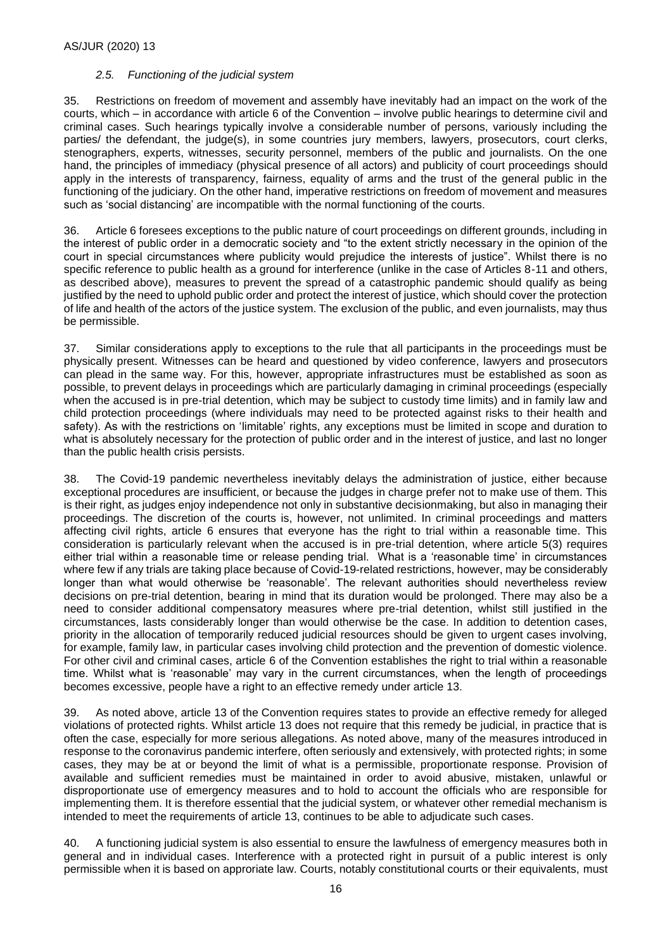### *2.5. Functioning of the judicial system*

35. Restrictions on freedom of movement and assembly have inevitably had an impact on the work of the courts, which – in accordance with article 6 of the Convention – involve public hearings to determine civil and criminal cases. Such hearings typically involve a considerable number of persons, variously including the parties/ the defendant, the judge(s), in some countries jury members, lawyers, prosecutors, court clerks, stenographers, experts, witnesses, security personnel, members of the public and journalists. On the one hand, the principles of immediacy (physical presence of all actors) and publicity of court proceedings should apply in the interests of transparency, fairness, equality of arms and the trust of the general public in the functioning of the judiciary. On the other hand, imperative restrictions on freedom of movement and measures such as 'social distancing' are incompatible with the normal functioning of the courts.

36. Article 6 foresees exceptions to the public nature of court proceedings on different grounds, including in the interest of public order in a democratic society and "to the extent strictly necessary in the opinion of the court in special circumstances where publicity would prejudice the interests of justice". Whilst there is no specific reference to public health as a ground for interference (unlike in the case of Articles 8-11 and others, as described above), measures to prevent the spread of a catastrophic pandemic should qualify as being justified by the need to uphold public order and protect the interest of justice, which should cover the protection of life and health of the actors of the justice system. The exclusion of the public, and even journalists, may thus be permissible.

37. Similar considerations apply to exceptions to the rule that all participants in the proceedings must be physically present. Witnesses can be heard and questioned by video conference, lawyers and prosecutors can plead in the same way. For this, however, appropriate infrastructures must be established as soon as possible, to prevent delays in proceedings which are particularly damaging in criminal proceedings (especially when the accused is in pre-trial detention, which may be subject to custody time limits) and in family law and child protection proceedings (where individuals may need to be protected against risks to their health and safety). As with the restrictions on 'limitable' rights, any exceptions must be limited in scope and duration to what is absolutely necessary for the protection of public order and in the interest of justice, and last no longer than the public health crisis persists.

38. The Covid-19 pandemic nevertheless inevitably delays the administration of justice, either because exceptional procedures are insufficient, or because the judges in charge prefer not to make use of them. This is their right, as judges enjoy independence not only in substantive decisionmaking, but also in managing their proceedings. The discretion of the courts is, however, not unlimited. In criminal proceedings and matters affecting civil rights, article 6 ensures that everyone has the right to trial within a reasonable time. This consideration is particularly relevant when the accused is in pre-trial detention, where article 5(3) requires either trial within a reasonable time or release pending trial. What is a 'reasonable time' in circumstances where few if any trials are taking place because of Covid-19-related restrictions, however, may be considerably longer than what would otherwise be 'reasonable'. The relevant authorities should nevertheless review decisions on pre-trial detention, bearing in mind that its duration would be prolonged. There may also be a need to consider additional compensatory measures where pre-trial detention, whilst still justified in the circumstances, lasts considerably longer than would otherwise be the case. In addition to detention cases, priority in the allocation of temporarily reduced judicial resources should be given to urgent cases involving, for example, family law, in particular cases involving child protection and the prevention of domestic violence. For other civil and criminal cases, article 6 of the Convention establishes the right to trial within a reasonable time. Whilst what is 'reasonable' may vary in the current circumstances, when the length of proceedings becomes excessive, people have a right to an effective remedy under article 13.

39. As noted above, article 13 of the Convention requires states to provide an effective remedy for alleged violations of protected rights. Whilst article 13 does not require that this remedy be judicial, in practice that is often the case, especially for more serious allegations. As noted above, many of the measures introduced in response to the coronavirus pandemic interfere, often seriously and extensively, with protected rights; in some cases, they may be at or beyond the limit of what is a permissible, proportionate response. Provision of available and sufficient remedies must be maintained in order to avoid abusive, mistaken, unlawful or disproportionate use of emergency measures and to hold to account the officials who are responsible for implementing them. It is therefore essential that the judicial system, or whatever other remedial mechanism is intended to meet the requirements of article 13, continues to be able to adjudicate such cases.

40. A functioning judicial system is also essential to ensure the lawfulness of emergency measures both in general and in individual cases. Interference with a protected right in pursuit of a public interest is only permissible when it is based on approriate law. Courts, notably constitutional courts or their equivalents, must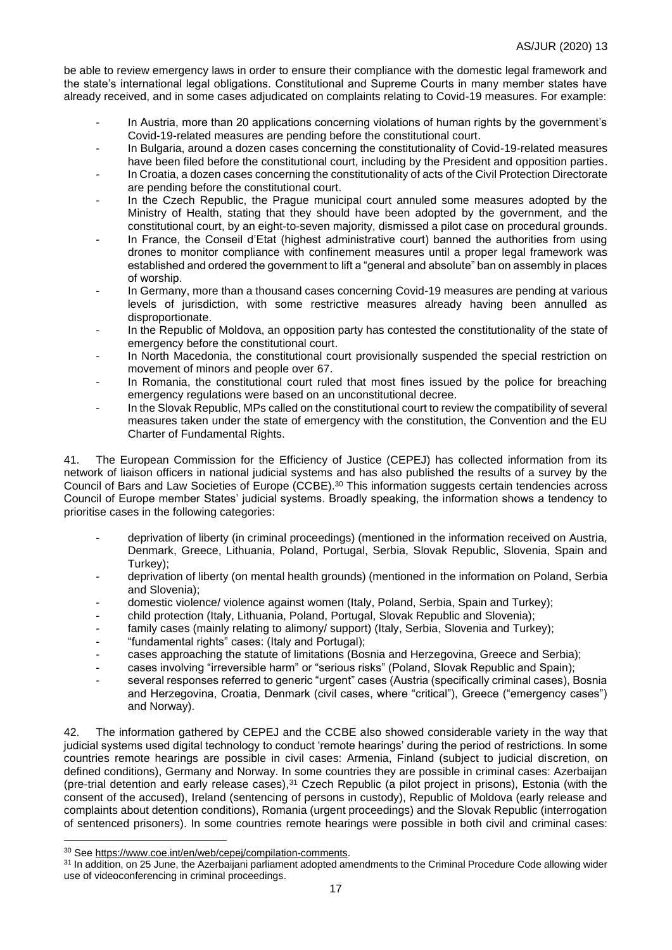be able to review emergency laws in order to ensure their compliance with the domestic legal framework and the state's international legal obligations. Constitutional and Supreme Courts in many member states have already received, and in some cases adjudicated on complaints relating to Covid-19 measures. For example:

- In Austria, more than 20 applications concerning violations of human rights by the government's Covid-19-related measures are pending before the constitutional court.
- In Bulgaria, around a dozen cases concerning the constitutionality of Covid-19-related measures have been filed before the constitutional court, including by the President and opposition parties.
- In Croatia, a dozen cases concerning the constitutionality of acts of the Civil Protection Directorate are pending before the constitutional court.
- In the Czech Republic, the Prague municipal court annuled some measures adopted by the Ministry of Health, stating that they should have been adopted by the government, and the constitutional court, by an eight-to-seven majority, dismissed a pilot case on procedural grounds.
- In France, the Conseil d'Etat (highest administrative court) banned the authorities from using drones to monitor compliance with confinement measures until a proper legal framework was established and ordered the government to lift a "general and absolute" ban on assembly in places of worship.
- In Germany, more than a thousand cases concerning Covid-19 measures are pending at various levels of jurisdiction, with some restrictive measures already having been annulled as disproportionate.
- In the Republic of Moldova, an opposition party has contested the constitutionality of the state of emergency before the constitutional court.
- In North Macedonia, the constitutional court provisionally suspended the special restriction on movement of minors and people over 67.
- In Romania, the constitutional court ruled that most fines issued by the police for breaching emergency regulations were based on an unconstitutional decree.
- In the Slovak Republic, MPs called on the constitutional court to review the compatibility of several measures taken under the state of emergency with the constitution, the Convention and the EU Charter of Fundamental Rights.

41. The European Commission for the Efficiency of Justice (CEPEJ) has collected information from its network of liaison officers in national judicial systems and has also published the results of a survey by the Council of Bars and Law Societies of Europe (CCBE).<sup>30</sup> This information suggests certain tendencies across Council of Europe member States' judicial systems. Broadly speaking, the information shows a tendency to prioritise cases in the following categories:

- deprivation of liberty (in criminal proceedings) (mentioned in the information received on Austria, Denmark, Greece, Lithuania, Poland, Portugal, Serbia, Slovak Republic, Slovenia, Spain and Turkey);
- deprivation of liberty (on mental health grounds) (mentioned in the information on Poland, Serbia and Slovenia);
- domestic violence/ violence against women (Italy, Poland, Serbia, Spain and Turkey);
- child protection (Italy, Lithuania, Poland, Portugal, Slovak Republic and Slovenia);
- family cases (mainly relating to alimony/ support) (Italy, Serbia, Slovenia and Turkey);
- "fundamental rights" cases: (Italy and Portugal);
- cases approaching the statute of limitations (Bosnia and Herzegovina, Greece and Serbia);
- cases involving "irreversible harm" or "serious risks" (Poland, Slovak Republic and Spain);
- several responses referred to generic "urgent" cases (Austria (specifically criminal cases), Bosnia and Herzegovina, Croatia, Denmark (civil cases, where "critical"), Greece ("emergency cases") and Norway).

42. The information gathered by CEPEJ and the CCBE also showed considerable variety in the way that judicial systems used digital technology to conduct 'remote hearings' during the period of restrictions. In some countries remote hearings are possible in civil cases: Armenia, Finland (subject to judicial discretion, on defined conditions), Germany and Norway. In some countries they are possible in criminal cases: Azerbaijan (pre-trial detention and early release cases),<sup>31</sup> Czech Republic (a pilot project in prisons), Estonia (with the consent of the accused), Ireland (sentencing of persons in custody), Republic of Moldova (early release and complaints about detention conditions), Romania (urgent proceedings) and the Slovak Republic (interrogation of sentenced prisoners). In some countries remote hearings were possible in both civil and criminal cases:

<sup>30</sup> See [https://www.coe.int/en/web/cepej/compilation-comments.](https://www.coe.int/en/web/cepej/compilation-comments)

<sup>&</sup>lt;sup>31</sup> In addition, on 25 June, the Azerbaijani parliament adopted amendments to the Criminal Procedure Code allowing wider use of videoconferencing in criminal proceedings.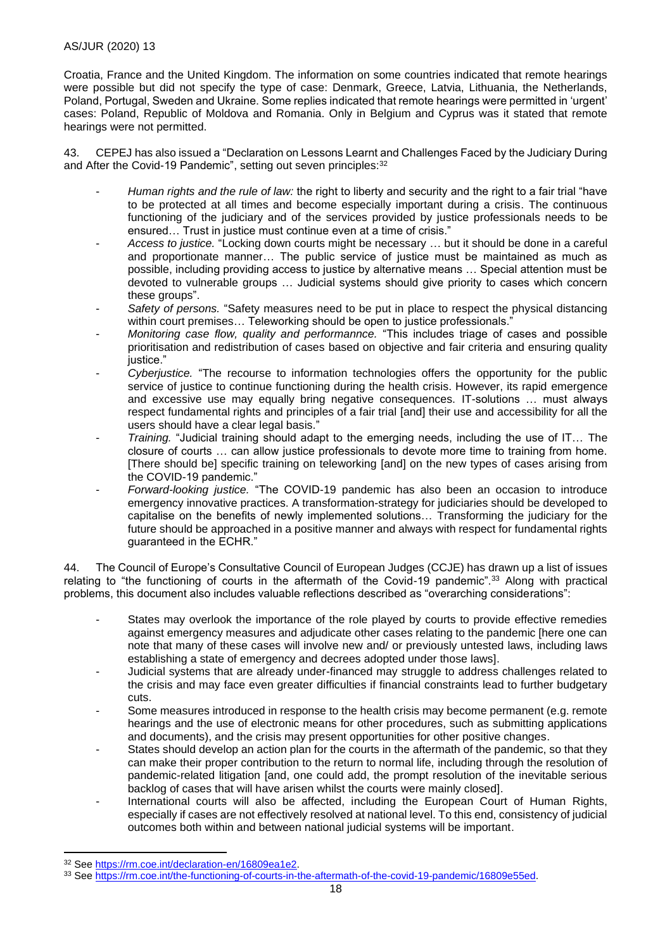## AS/JUR (2020) 13

Croatia, France and the United Kingdom. The information on some countries indicated that remote hearings were possible but did not specify the type of case: Denmark, Greece, Latvia, Lithuania, the Netherlands, Poland, Portugal, Sweden and Ukraine. Some replies indicated that remote hearings were permitted in 'urgent' cases: Poland, Republic of Moldova and Romania. Only in Belgium and Cyprus was it stated that remote hearings were not permitted.

43. CEPEJ has also issued a "Declaration on Lessons Learnt and Challenges Faced by the Judiciary During and After the Covid-19 Pandemic", setting out seven principles: 32

- Human rights and the rule of law: the right to liberty and security and the right to a fair trial "have to be protected at all times and become especially important during a crisis. The continuous functioning of the judiciary and of the services provided by justice professionals needs to be ensured… Trust in justice must continue even at a time of crisis."
- *Access to justice.* "Locking down courts might be necessary … but it should be done in a careful and proportionate manner… The public service of justice must be maintained as much as possible, including providing access to justice by alternative means … Special attention must be devoted to vulnerable groups … Judicial systems should give priority to cases which concern these groups".
- Safety of persons. "Safety measures need to be put in place to respect the physical distancing within court premises… Teleworking should be open to justice professionals."
- *Monitoring case flow, quality and performannce.* "This includes triage of cases and possible prioritisation and redistribution of cases based on objective and fair criteria and ensuring quality justice."
- *Cyberjustice.* "The recourse to information technologies offers the opportunity for the public service of justice to continue functioning during the health crisis. However, its rapid emergence and excessive use may equally bring negative consequences. IT-solutions … must always respect fundamental rights and principles of a fair trial [and] their use and accessibility for all the users should have a clear legal basis."
- *Training.* "Judicial training should adapt to the emerging needs, including the use of IT… The closure of courts … can allow justice professionals to devote more time to training from home. [There should be] specific training on teleworking [and] on the new types of cases arising from the COVID-19 pandemic."
- *Forward-looking justice.* "The COVID-19 pandemic has also been an occasion to introduce emergency innovative practices. A transformation-strategy for judiciaries should be developed to capitalise on the benefits of newly implemented solutions… Transforming the judiciary for the future should be approached in a positive manner and always with respect for fundamental rights guaranteed in the ECHR."

44. The Council of Europe's Consultative Council of European Judges (CCJE) has drawn up a list of issues relating to "the functioning of courts in the aftermath of the Covid-19 pandemic".<sup>33</sup> Along with practical problems, this document also includes valuable reflections described as "overarching considerations":

- States may overlook the importance of the role played by courts to provide effective remedies against emergency measures and adjudicate other cases relating to the pandemic [here one can note that many of these cases will involve new and/ or previously untested laws, including laws establishing a state of emergency and decrees adopted under those laws].
- Judicial systems that are already under-financed may struggle to address challenges related to the crisis and may face even greater difficulties if financial constraints lead to further budgetary cuts.
- Some measures introduced in response to the health crisis may become permanent (e.g. remote hearings and the use of electronic means for other procedures, such as submitting applications and documents), and the crisis may present opportunities for other positive changes.
- States should develop an action plan for the courts in the aftermath of the pandemic, so that they can make their proper contribution to the return to normal life, including through the resolution of pandemic-related litigation [and, one could add, the prompt resolution of the inevitable serious backlog of cases that will have arisen whilst the courts were mainly closed].
- International courts will also be affected, including the European Court of Human Rights, especially if cases are not effectively resolved at national level. To this end, consistency of judicial outcomes both within and between national judicial systems will be important.

<sup>32</sup> See [https://rm.coe.int/declaration-en/16809ea1e2.](https://rm.coe.int/declaration-en/16809ea1e2)

<sup>33</sup> See [https://rm.coe.int/the-functioning-of-courts-in-the-aftermath-of-the-covid-19-pandemic/16809e55ed.](https://rm.coe.int/the-functioning-of-courts-in-the-aftermath-of-the-covid-19-pandemic/16809e55ed)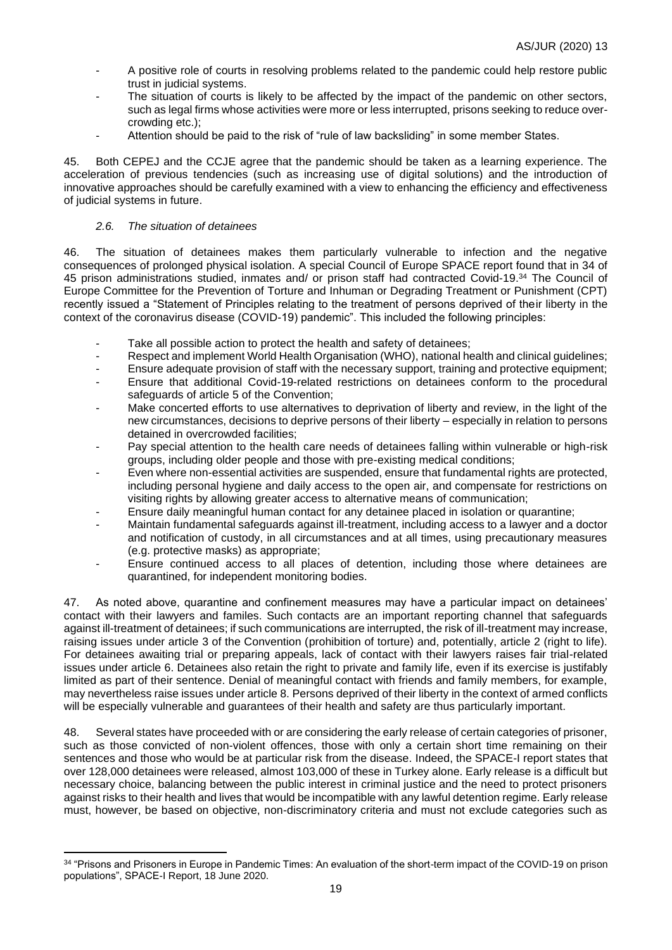- A positive role of courts in resolving problems related to the pandemic could help restore public trust in judicial systems.
- The situation of courts is likely to be affected by the impact of the pandemic on other sectors, such as legal firms whose activities were more or less interrupted, prisons seeking to reduce overcrowding etc.);
- Attention should be paid to the risk of "rule of law backsliding" in some member States.

45. Both CEPEJ and the CCJE agree that the pandemic should be taken as a learning experience. The acceleration of previous tendencies (such as increasing use of digital solutions) and the introduction of innovative approaches should be carefully examined with a view to enhancing the efficiency and effectiveness of judicial systems in future.

## *2.6. The situation of detainees*

46. The situation of detainees makes them particularly vulnerable to infection and the negative consequences of prolonged physical isolation. A special Council of Europe SPACE report found that in 34 of 45 prison administrations studied, inmates and/ or prison staff had contracted Covid-19.<sup>34</sup> The Council of Europe Committee for the Prevention of Torture and Inhuman or Degrading Treatment or Punishment (CPT) recently issued a "Statement of Principles relating to the treatment of persons deprived of their liberty in the context of the coronavirus disease (COVID-19) pandemic". This included the following principles:

- Take all possible action to protect the health and safety of detainees;
- Respect and implement World Health Organisation (WHO), national health and clinical guidelines;
- Ensure adequate provision of staff with the necessary support, training and protective equipment;
- Ensure that additional Covid-19-related restrictions on detainees conform to the procedural safeguards of article 5 of the Convention;
- Make concerted efforts to use alternatives to deprivation of liberty and review, in the light of the new circumstances, decisions to deprive persons of their liberty – especially in relation to persons detained in overcrowded facilities;
- Pay special attention to the health care needs of detainees falling within vulnerable or high-risk groups, including older people and those with pre-existing medical conditions;
- Even where non-essential activities are suspended, ensure that fundamental rights are protected, including personal hygiene and daily access to the open air, and compensate for restrictions on visiting rights by allowing greater access to alternative means of communication;
- Ensure daily meaningful human contact for any detainee placed in isolation or quarantine;
- Maintain fundamental safeguards against ill-treatment, including access to a lawyer and a doctor and notification of custody, in all circumstances and at all times, using precautionary measures (e.g. protective masks) as appropriate;
- Ensure continued access to all places of detention, including those where detainees are quarantined, for independent monitoring bodies.

47. As noted above, quarantine and confinement measures may have a particular impact on detainees' contact with their lawyers and familes. Such contacts are an important reporting channel that safeguards against ill-treatment of detainees; if such communications are interrupted, the risk of ill-treatment may increase, raising issues under article 3 of the Convention (prohibition of torture) and, potentially, article 2 (right to life). For detainees awaiting trial or preparing appeals, lack of contact with their lawyers raises fair trial-related issues under article 6. Detainees also retain the right to private and family life, even if its exercise is justifably limited as part of their sentence. Denial of meaningful contact with friends and family members, for example, may nevertheless raise issues under article 8. Persons deprived of their liberty in the context of armed conflicts will be especially vulnerable and quarantees of their health and safety are thus particularly important.

48. Several states have proceeded with or are considering the early release of certain categories of prisoner, such as those convicted of non-violent offences, those with only a certain short time remaining on their sentences and those who would be at particular risk from the disease. Indeed, the SPACE-I report states that over 128,000 detainees were released, almost 103,000 of these in Turkey alone. Early release is a difficult but necessary choice, balancing between the public interest in criminal justice and the need to protect prisoners against risks to their health and lives that would be incompatible with any lawful detention regime. Early release must, however, be based on objective, non-discriminatory criteria and must not exclude categories such as

<sup>34 &</sup>quot;Prisons and Prisoners in Europe in Pandemic Times: An evaluation of the short-term impact of the COVID-19 on prison populations", SPACE-I Report, 18 June 2020.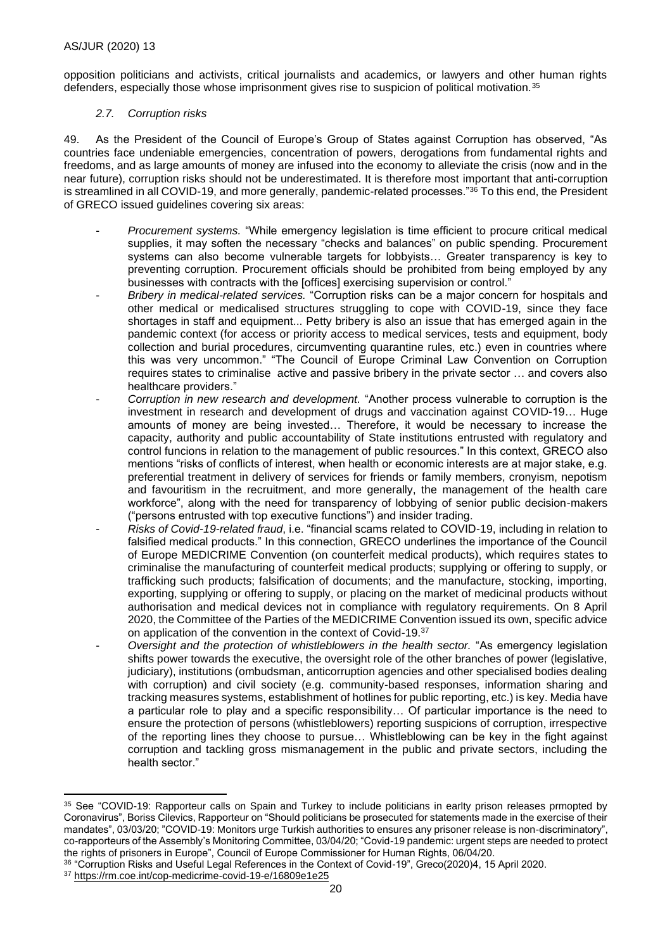opposition politicians and activists, critical journalists and academics, or lawyers and other human rights defenders, especially those whose imprisonment gives rise to suspicion of political motivation.<sup>35</sup>

## *2.7. Corruption risks*

49. As the President of the Council of Europe's Group of States against Corruption has observed, "As countries face undeniable emergencies, concentration of powers, derogations from fundamental rights and freedoms, and as large amounts of money are infused into the economy to alleviate the crisis (now and in the near future), corruption risks should not be underestimated. It is therefore most important that anti-corruption is streamlined in all COVID-19, and more generally, pandemic-related processes."<sup>36</sup> To this end, the President of GRECO issued guidelines covering six areas:

- *Procurement systems.* "While emergency legislation is time efficient to procure critical medical supplies, it may soften the necessary "checks and balances" on public spending. Procurement systems can also become vulnerable targets for lobbyists… Greater transparency is key to preventing corruption. Procurement officials should be prohibited from being employed by any businesses with contracts with the [offices] exercising supervision or control."
	- *Bribery in medical-related services.* "Corruption risks can be a major concern for hospitals and other medical or medicalised structures struggling to cope with COVID-19, since they face shortages in staff and equipment... Petty bribery is also an issue that has emerged again in the pandemic context (for access or priority access to medical services, tests and equipment, body collection and burial procedures, circumventing quarantine rules, etc.) even in countries where this was very uncommon." "The Council of Europe Criminal Law Convention on Corruption requires states to criminalise active and passive bribery in the private sector … and covers also healthcare providers."
- *Corruption in new research and development.* "Another process vulnerable to corruption is the investment in research and development of drugs and vaccination against COVID-19… Huge amounts of money are being invested… Therefore, it would be necessary to increase the capacity, authority and public accountability of State institutions entrusted with regulatory and control funcions in relation to the management of public resources." In this context, GRECO also mentions "risks of conflicts of interest, when health or economic interests are at major stake, e.g. preferential treatment in delivery of services for friends or family members, cronyism, nepotism and favouritism in the recruitment, and more generally, the management of the health care workforce", along with the need for transparency of lobbying of senior public decision-makers ("persons entrusted with top executive functions") and insider trading.
- *Risks of Covid-19-related fraud*, i.e. "financial scams related to COVID-19, including in relation to falsified medical products." In this connection, GRECO underlines the importance of the Council of Europe MEDICRIME Convention (on counterfeit medical products), which requires states to criminalise the manufacturing of counterfeit medical products; supplying or offering to supply, or trafficking such products; falsification of documents; and the manufacture, stocking, importing, exporting, supplying or offering to supply, or placing on the market of medicinal products without authorisation and medical devices not in compliance with regulatory requirements. On 8 April 2020, the Committee of the Parties of the MEDICRIME Convention issued its own, specific advice on application of the convention in the context of Covid-19.<sup>37</sup>
- *Oversight and the protection of whistleblowers in the health sector.* "As emergency legislation shifts power towards the executive, the oversight role of the other branches of power (legislative, judiciary), institutions (ombudsman, anticorruption agencies and other specialised bodies dealing with corruption) and civil society (e.g. community-based responses, information sharing and tracking measures systems, establishment of hotlines for public reporting, etc.) is key. Media have a particular role to play and a specific responsibility… Of particular importance is the need to ensure the protection of persons (whistleblowers) reporting suspicions of corruption, irrespective of the reporting lines they choose to pursue… Whistleblowing can be key in the fight against corruption and tackling gross mismanagement in the public and private sectors, including the health sector."

<sup>35</sup> See "COVID-19: Rapporteur calls on Spain and Turkey to include politicians in earlty prison releases prmopted by Coronavirus", Boriss Cilevics, Rapporteur on "Should politicians be prosecuted for statements made in the exercise of their mandates", 03/03/20; "COVID-19: Monitors urge Turkish authorities to ensures any prisoner release is non-discriminatory", co-rapporteurs of the Assembly's Monitoring Committee, 03/04/20; "Covid-19 pandemic: urgent steps are needed to protect the rights of prisoners in Europe", Council of Europe Commissioner for Human Rights, 06/04/20.

<sup>36</sup> "Corruption Risks and Useful Legal References in the Context of Covid-19", Greco(2020)4, 15 April 2020.

<sup>37</sup> <https://rm.coe.int/cop-medicrime-covid-19-e/16809e1e25>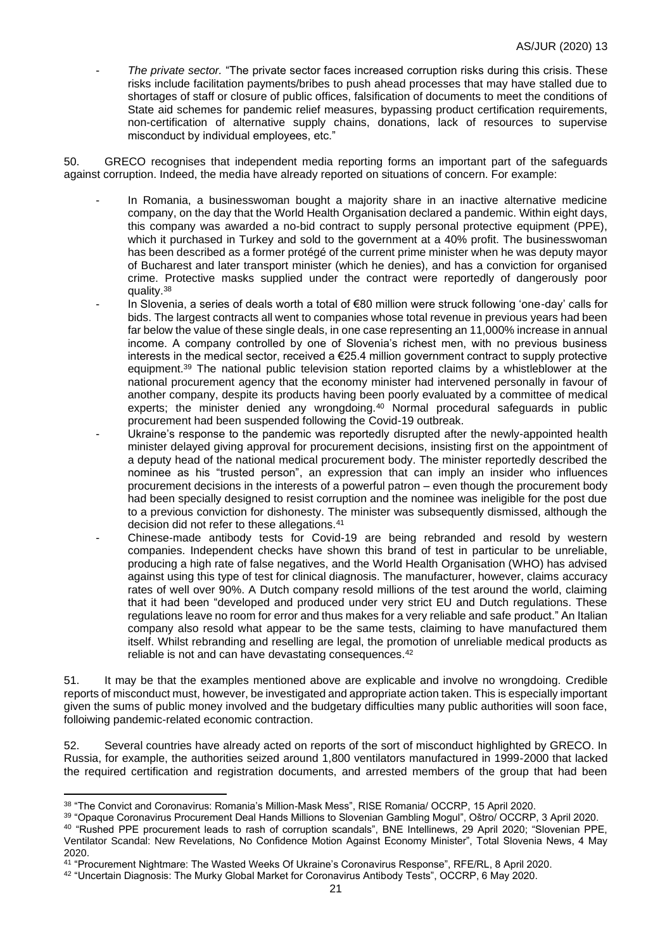- *The private sector.* "The private sector faces increased corruption risks during this crisis. These risks include facilitation payments/bribes to push ahead processes that may have stalled due to shortages of staff or closure of public offices, falsification of documents to meet the conditions of State aid schemes for pandemic relief measures, bypassing product certification requirements, non-certification of alternative supply chains, donations, lack of resources to supervise misconduct by individual employees, etc."

50. GRECO recognises that independent media reporting forms an important part of the safeguards against corruption. Indeed, the media have already reported on situations of concern. For example:

- In Romania, a businesswoman bought a majority share in an inactive alternative medicine company, on the day that the World Health Organisation declared a pandemic. Within eight days, this company was awarded a no-bid contract to supply personal protective equipment (PPE), which it purchased in Turkey and sold to the government at a 40% profit. The businesswoman has been described as a former protégé of the current prime minister when he was deputy mayor of Bucharest and later transport minister (which he denies), and has a conviction for organised crime. Protective masks supplied under the contract were reportedly of dangerously poor quality.<sup>38</sup>
- In Slovenia, a series of deals worth a total of €80 million were struck following 'one-day' calls for bids. The largest contracts all went to companies whose total revenue in previous years had been far below the value of these single deals, in one case representing an 11,000% increase in annual income. A company controlled by one of Slovenia's richest men, with no previous business interests in the medical sector, received a €25.4 million government contract to supply protective equipment.<sup>39</sup> The national public television station reported claims by a whistleblower at the national procurement agency that the economy minister had intervened personally in favour of another company, despite its products having been poorly evaluated by a committee of medical experts; the minister denied any wrongdoing.<sup>40</sup> Normal procedural safeguards in public procurement had been suspended following the Covid-19 outbreak.
- Ukraine's response to the pandemic was reportedly disrupted after the newly-appointed health minister delayed giving approval for procurement decisions, insisting first on the appointment of a deputy head of the national medical procurement body. The minister reportedly described the nominee as his "trusted person", an expression that can imply an insider who influences procurement decisions in the interests of a powerful patron – even though the procurement body had been specially designed to resist corruption and the nominee was ineligible for the post due to a previous conviction for dishonesty. The minister was subsequently dismissed, although the decision did not refer to these allegations.<sup>41</sup>
- Chinese-made antibody tests for Covid-19 are being rebranded and resold by western companies. Independent checks have shown this brand of test in particular to be unreliable, producing a high rate of false negatives, and the World Health Organisation (WHO) has advised against using this type of test for clinical diagnosis. The manufacturer, however, claims accuracy rates of well over 90%. A Dutch company resold millions of the test around the world, claiming that it had been "developed and produced under very strict EU and Dutch regulations. These regulations leave no room for error and thus makes for a very reliable and safe product." An Italian company also resold what appear to be the same tests, claiming to have manufactured them itself. Whilst rebranding and reselling are legal, the promotion of unreliable medical products as reliable is not and can have devastating consequences.<sup>42</sup>

51. It may be that the examples mentioned above are explicable and involve no wrongdoing. Credible reports of misconduct must, however, be investigated and appropriate action taken. This is especially important given the sums of public money involved and the budgetary difficulties many public authorities will soon face, folloiwing pandemic-related economic contraction.

52. Several countries have already acted on reports of the sort of misconduct highlighted by GRECO. In Russia, for example, the authorities seized around 1,800 ventilators manufactured in 1999-2000 that lacked the required certification and registration documents, and arrested members of the group that had been

<sup>39</sup> "Opaque Coronavirus Procurement Deal Hands Millions to Slovenian Gambling Mogul", Oštro/ OCCRP, 3 April 2020.

<sup>38 &</sup>quot;The Convict and Coronavirus: Romania's Million-Mask Mess", RISE Romania/ OCCRP, 15 April 2020.

<sup>40</sup> "Rushed PPE procurement leads to rash of corruption scandals", BNE Intellinews, 29 April 2020; "Slovenian PPE, Ventilator Scandal: New Revelations, No Confidence Motion Against Economy Minister", Total Slovenia News, 4 May 2020.

<sup>41</sup> "Procurement Nightmare: The Wasted Weeks Of Ukraine's Coronavirus Response", RFE/RL, 8 April 2020.

<sup>42</sup> "Uncertain Diagnosis: The Murky Global Market for Coronavirus Antibody Tests", OCCRP, 6 May 2020.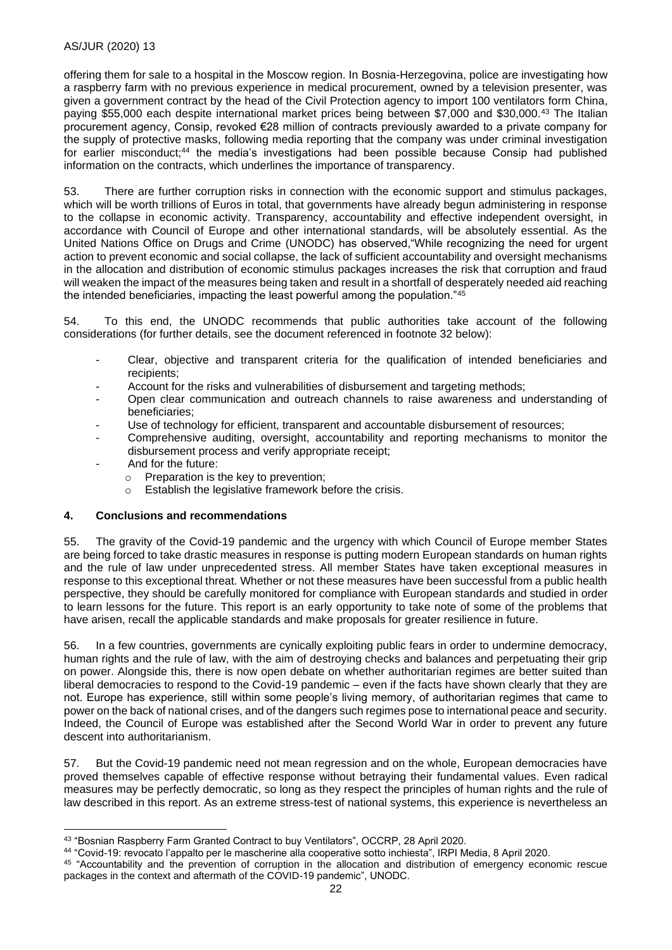offering them for sale to a hospital in the Moscow region. In Bosnia-Herzegovina, police are investigating how a raspberry farm with no previous experience in medical procurement, owned by a television presenter, was given a government contract by the head of the Civil Protection agency to import 100 ventilators form China, paying \$55,000 each despite international market prices being between \$7,000 and \$30,000.<sup>43</sup> The Italian procurement agency, Consip, revoked €28 million of contracts previously awarded to a private company for the supply of protective masks, following media reporting that the company was under criminal investigation for earlier misconduct;<sup>44</sup> the media's investigations had been possible because Consip had published information on the contracts, which underlines the importance of transparency.

53. There are further corruption risks in connection with the economic support and stimulus packages, which will be worth trillions of Euros in total, that governments have already begun administering in response to the collapse in economic activity. Transparency, accountability and effective independent oversight, in accordance with Council of Europe and other international standards, will be absolutely essential. As the United Nations Office on Drugs and Crime (UNODC) has observed,"While recognizing the need for urgent action to prevent economic and social collapse, the lack of sufficient accountability and oversight mechanisms in the allocation and distribution of economic stimulus packages increases the risk that corruption and fraud will weaken the impact of the measures being taken and result in a shortfall of desperately needed aid reaching the intended beneficiaries, impacting the least powerful among the population."<sup>45</sup>

54. To this end, the UNODC recommends that public authorities take account of the following considerations (for further details, see the document referenced in footnote 32 below):

- Clear, objective and transparent criteria for the qualification of intended beneficiaries and recipients;
- Account for the risks and vulnerabilities of disbursement and targeting methods;
- Open clear communication and outreach channels to raise awareness and understanding of beneficiaries;
- Use of technology for efficient, transparent and accountable disbursement of resources;
- Comprehensive auditing, oversight, accountability and reporting mechanisms to monitor the disbursement process and verify appropriate receipt;
- And for the future:
	- o Preparation is the key to prevention;
	- o Establish the legislative framework before the crisis.

## **4. Conclusions and recommendations**

55. The gravity of the Covid-19 pandemic and the urgency with which Council of Europe member States are being forced to take drastic measures in response is putting modern European standards on human rights and the rule of law under unprecedented stress. All member States have taken exceptional measures in response to this exceptional threat. Whether or not these measures have been successful from a public health perspective, they should be carefully monitored for compliance with European standards and studied in order to learn lessons for the future. This report is an early opportunity to take note of some of the problems that have arisen, recall the applicable standards and make proposals for greater resilience in future.

In a few countries, governments are cynically exploiting public fears in order to undermine democracy, human rights and the rule of law, with the aim of destroying checks and balances and perpetuating their grip on power. Alongside this, there is now open debate on whether authoritarian regimes are better suited than liberal democracies to respond to the Covid-19 pandemic – even if the facts have shown clearly that they are not. Europe has experience, still within some people's living memory, of authoritarian regimes that came to power on the back of national crises, and of the dangers such regimes pose to international peace and security. Indeed, the Council of Europe was established after the Second World War in order to prevent any future descent into authoritarianism.

57. But the Covid-19 pandemic need not mean regression and on the whole, European democracies have proved themselves capable of effective response without betraying their fundamental values. Even radical measures may be perfectly democratic, so long as they respect the principles of human rights and the rule of law described in this report. As an extreme stress-test of national systems, this experience is nevertheless an

<sup>43</sup> "Bosnian Raspberry Farm Granted Contract to buy Ventilators", OCCRP, 28 April 2020.

<sup>44</sup> "Covid-19: revocato l'appalto per le mascherine alla cooperative sotto inchiesta", IRPI Media, 8 April 2020.

<sup>45</sup> "Accountability and the prevention of corruption in the allocation and distribution of emergency economic rescue packages in the context and aftermath of the COVID-19 pandemic", UNODC.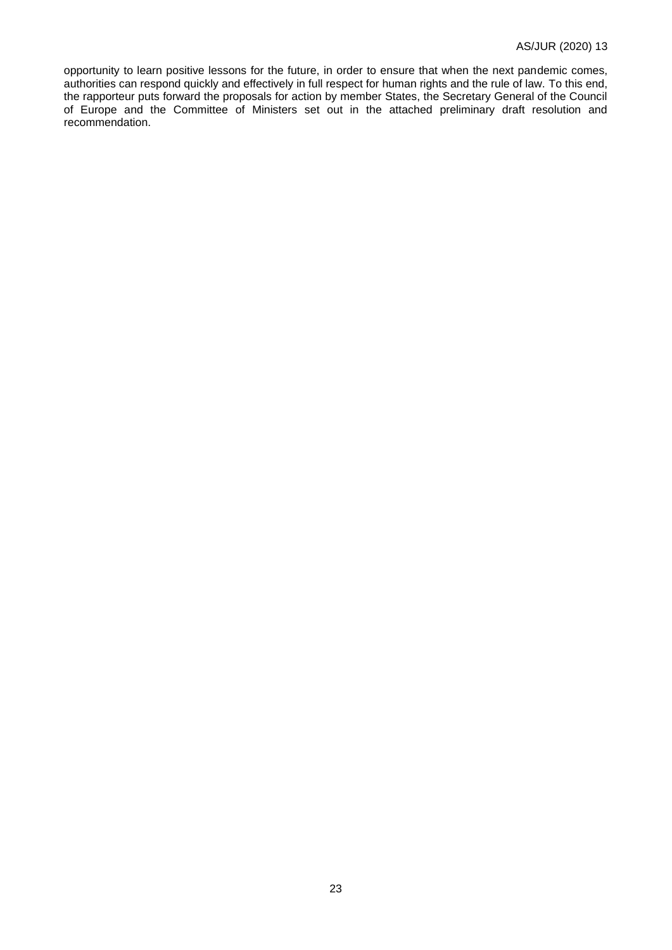opportunity to learn positive lessons for the future, in order to ensure that when the next pandemic comes, authorities can respond quickly and effectively in full respect for human rights and the rule of law. To this end, the rapporteur puts forward the proposals for action by member States, the Secretary General of the Council of Europe and the Committee of Ministers set out in the attached preliminary draft resolution and recommendation.